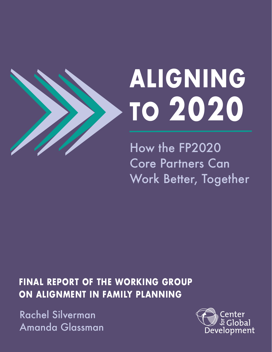

# **ALIGNING TO 2020**

How the FP2020 Core Partners Can Work Better, Together

**FINAL REPORT OF THE WORKING GROUP ON ALIGNMENT IN FAMILY PLANNING** 

Rachel Silverman Amanda Glassman

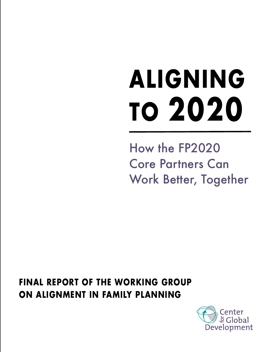# **ALIGNING TO 2020**

How the FP2020 Core Partners Can Work Better, Together

**FINAL REPORT OF THE WORKING GROUP ON ALIGNMENT IN FAMILY PLANNING**

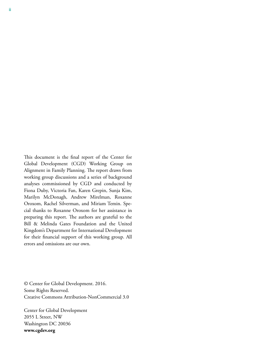This document is the final report of the Center for Global Development (CGD) Working Group on Alignment in Family Planning. The report draws from working group discussions and a series of background analyses commissioned by CGD and conducted by Fiona Duby, Victoria Fan, Karen Grepin, Sunja Kim, Marilyn McDonagh, Andrew Mirelman, Roxanne Oroxom, Rachel Silverman, and Miriam Temin. Special thanks to Roxanne Oroxom for her assistance in preparing this report. The authors are grateful to the Bill & Melinda Gates Foundation and the United Kingdom's Department for International Development for their financial support of this working group. All errors and omissions are our own.

© Center for Global Development. 2016. Some Rights Reserved. Creative Commons Attribution-NonCommercial 3.0

Center for Global Development 2055 L Street, NW Washington DC 20036 **www.cgdev.org**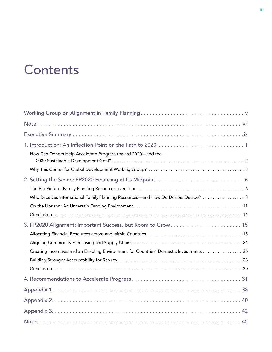# **Contents**

| How Can Donors Help Accelerate Progress toward 2020-and the                            |
|----------------------------------------------------------------------------------------|
|                                                                                        |
|                                                                                        |
|                                                                                        |
| Who Receives International Family Planning Resources—and How Do Donors Decide?  8      |
|                                                                                        |
|                                                                                        |
| 3. FP2020 Alignment: Important Success, but Room to Grow 15                            |
|                                                                                        |
|                                                                                        |
| Creating Incentives and an Enabling Environment for Countries' Domestic Investments 26 |
|                                                                                        |
|                                                                                        |
|                                                                                        |
|                                                                                        |
|                                                                                        |
|                                                                                        |
|                                                                                        |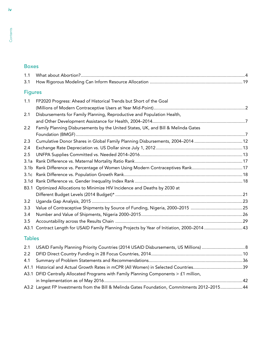#### Boxes

| 1.1              |                                                                                              |  |
|------------------|----------------------------------------------------------------------------------------------|--|
| 3.1              |                                                                                              |  |
| <b>Figures</b>   |                                                                                              |  |
| 1.1              | FP2020 Progress: Ahead of Historical Trends but Short of the Goal                            |  |
|                  |                                                                                              |  |
| 2.1              | Disbursements for Family Planning, Reproductive and Population Health,                       |  |
|                  |                                                                                              |  |
| 2.2              | Family Planning Disbursements by the United States, UK, and Bill & Melinda Gates             |  |
|                  |                                                                                              |  |
| 2.3              | Cumulative Donor Shares in Global Family Planning Disbursements, 2004-2014 12                |  |
| 2.4              |                                                                                              |  |
| 2.5              |                                                                                              |  |
| 3.1a             |                                                                                              |  |
| 3.1 <sub>b</sub> |                                                                                              |  |
| 3.1c             |                                                                                              |  |
| 3.1 <sub>d</sub> |                                                                                              |  |
| B3.1             | Optimized Allocations to Minimize HIV Incidence and Deaths by 2030 at                        |  |
|                  |                                                                                              |  |
| 3.2              |                                                                                              |  |
| 3.3              |                                                                                              |  |
| 3.4              |                                                                                              |  |
| 3.5              |                                                                                              |  |
|                  | A3.1 Contract Length for USAID Family Planning Projects by Year of Initiation, 2000–2014  43 |  |
|                  |                                                                                              |  |

#### Tables

| A3.1 DFID Centrally Allocated Programs with Family Planning Components $>$ £1 million,        |  |
|-----------------------------------------------------------------------------------------------|--|
|                                                                                               |  |
| A3.2 Largest FP Investments from the Bill & Melinda Gates Foundation, Commitments 2012-201544 |  |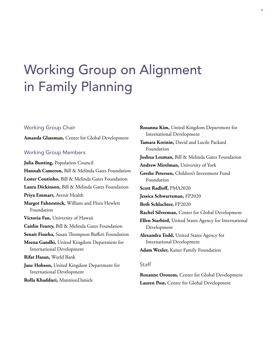# <span id="page-6-0"></span>Working Group on Alignment in Family Planning

#### Working Group Chair

**Amanda Glassman,** Center for Global Development

#### Working Group Members

**Julia Bunting,** Population Council **Hannah Cameron,** Bill & Melinda Gates Foundation **Lester Coutinho,** Bill & Melinda Gates Foundation **Laura Dickinson,** Bill & Melinda Gates Foundation **Priya Emmart,** Avenir Health **Margot Fahnestock,** William and Flora Hewlett Foundation **Victoria Fan,** University of Hawaii **Caitlin Feurey,** Bill & Melinda Gates Foundation **Senait Fisseha,** Susan Thompson Buffett Foundation **Meena Gandhi,** United Kingdom Department for International Development **Rifat Hasan,** World Bank **Jane Hobson,** United Kingdom Department for International Development **Rolla Khadduri,** MannionDaniels

**Rosanna Kim,** United Kingdom Department for International Development **Tamara Kreinin,** David and Lucile Packard Foundation **Joshua Lozman,** Bill & Melinda Gates Foundation **Andrew Mirelman,** University of York **Grethe Petersen,** Children's Investment Fund Foundation **Scott Radloff,** PMA2020 **Jessica Schwartzman,** FP2020 **Beth Schlachter,** FP2020 **Rachel Silverman,** Center for Global Development **Ellen Starbird,** United States Agency for International Development **Alexandra Todd,** United States Agency for International Development **Adam Wexler,** Kaiser Family Foundation

#### **Staff**

**Roxanne Oroxom,** Center for Global Development **Lauren Post,** Center for Global Development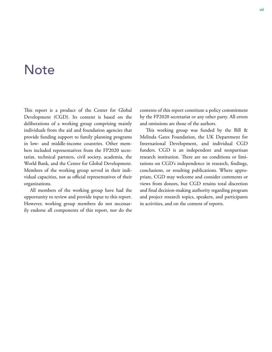### <span id="page-8-0"></span>**Note**

This report is a product of the Center for Global Development (CGD). Its content is based on the deliberations of a working group comprising mainly individuals from the aid and foundation agencies that provide funding support to family planning programs in low- and middle-income countries. Other members included representatives from the FP2020 secretariat, technical partners, civil society, academia, the World Bank, and the Center for Global Development. Members of the working group served in their individual capacities, not as official representatives of their organizations.

All members of the working group have had the opportunity to review and provide input to this report. However, working group members do not necessarily endorse all components of this report, nor do the contents of this report constitute a policy commitment by the FP2020 secretariat or any other party. All errors and omissions are those of the authors.

This working group was funded by the Bill & Melinda Gates Foundation, the UK Department for International Development, and individual CGD funders. CGD is an independent and nonpartisan research institution. There are no conditions or limitations on CGD's independence in research, findings, conclusions, or resulting publications. Where appropriate, CGD may welcome and consider comments or views from donors, but CGD retains total discretion and final decision-making authority regarding program and project research topics, speakers, and participants in activities, and on the content of reports.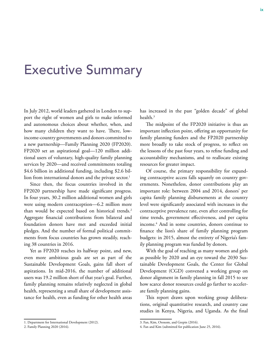### <span id="page-10-0"></span>Executive Summary

In July 2012, world leaders gathered in London to support the right of women and girls to make informed and autonomous choices about whether, when, and how many children they want to have. There, lowincome-country governments and donors committed to a new partnership—Family Planning 2020 (FP2020). FP2020 set an aspirational goal—120 million additional users of voluntary, high-quality family planning services by 2020—and received commitments totaling \$4.6 billion in additional funding, including \$2.6 billion from international donors and the private sector.<sup>1</sup>

Since then, the focus countries involved in the FP2020 partnership have made significant progress. In four years, 30.2 million additional women and girls were using modern contraception—6.2 million more than would be expected based on historical trends.<sup>2</sup> Aggregate financial contributions from bilateral and foundation donors have met and exceeded initial pledges. And the number of formal political commitments from focus countries has grown steadily, reaching 38 countries in 2016.

Yet as FP2020 reaches its halfway point, and new, even more ambitious goals are set as part of the Sustainable Development Goals, gains fall short of aspirations. In mid-2016, the number of additional users was 19.2 million short of that year's goal. Further, family planning remains relatively neglected in global health, representing a small share of development assistance for health, even as funding for other health areas has increased in the past "golden decade" of global health.<sup>3</sup>

The midpoint of the FP2020 initiative is thus an important inflection point, offering an opportunity for family planning funders and the FP2020 partnership more broadly to take stock of progress, to reflect on the lessons of the past four years, to refine funding and accountability mechanisms, and to reallocate existing resources for greater impact.

Of course, the primary responsibility for expanding contraceptive access falls squarely on country governments. Nonetheless, donor contributions play an important role: between 2004 and 2014, donors' per capita family planning disbursements at the country level were significantly associated with increases in the contraceptive prevalence rate, even after controlling for time trends, government effectiveness, and per capita income.4 And in some countries, donors continue to finance the lion's share of family planning program budgets: in 2015, almost the entirety of Nigeria's family planning program was funded by donors.

With the goal of reaching as many women and girls as possible by 2020 and an eye toward the 2030 Sustainable Development Goals, the Center for Global Development (CGD) convened a working group on donor alignment in family planning in fall 2015 to see how scarce donor resources could go farther to accelerate family planning gains.

This report draws upon working group deliberations, original quantitative research, and country case studies in Kenya, Nigeria, and Uganda. As the final

<sup>1.</sup> Department for International Development (2012).

<sup>2.</sup> Family Planning 2020 (2016).

<sup>3.</sup> Fan, Kim, Oroxom, and Grepin (2016).

<sup>4.</sup> Fan and Kim (submitted for publication June 25, 2016).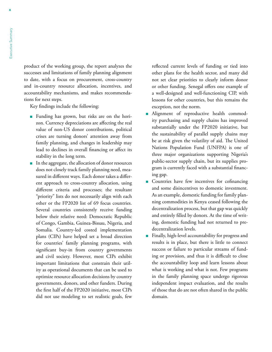product of the working group, the report analyzes the successes and limitations of family planning alignment to date, with a focus on procurement, cross-country and in-country resource allocation, incentives, and accountability mechanisms, and makes recommendations for next steps.

Key findings include the following:

- Funding has grown, but risks are on the horizon. Currency depreciations are affecting the real value of non-US donor contributions, political crises are turning donors' attention away from family planning, and changes in leadership may lead to declines in overall financing or affect its stability in the long term.
- n In the aggregate, the allocation of donor resources does not closely track family planning need, measured in different ways. Each donor takes a different approach to cross-country allocation, using different criteria and processes; the resultant "priority" lists do not necessarily align with each other or the FP2020 list of 69 focus countries. Several countries consistently receive funding below their relative need: Democratic Republic of Congo, Gambia, Guinea-Bissau, Nigeria, and Somalia. Country-led costed implementation plans (CIPs) have helped set a broad direction for countries' family planning programs, with significant buy-in from country governments and civil society. However, most CIPs exhibit important limitations that constrain their utility as operational documents that can be used to optimize resource allocation decisions by country governments, donors, and other funders. During the first half of the FP2020 initiative, most CIPs did not use modeling to set realistic goals, few

reflected current levels of funding or tied into other plans for the health sector, and many did not set clear priorities to clearly inform donor or other funding. Senegal offers one example of a well-designed and well-functioning CIP, with lessons for other countries, but this remains the exception, not the norm.

- <sup>n</sup> Alignment of reproductive health commodity purchasing and supply chains has improved substantially under the FP2020 initiative, but the sustainability of parallel supply chains may be at risk given the volatility of aid. The United Nations Population Fund (UNFPA) is one of three major organizations supporting Nigeria's public-sector supply chain, but its supplies program is currently faced with a substantial financing gap.
- **n** Countries have few incentives for cofinancing and some disincentives to domestic investment. As an example, domestic funding for family planning commodities in Kenya ceased following the decentralization process, but that gap was quickly and entirely filled by donors. At the time of writing, domestic funding had not returned to predecentralization levels.
- Finally, high-level accountability for progress and results is in place, but there is little to connect success or failure to particular streams of funding or provision, and thus it is difficult to close the accountability loop and learn lessons about what is working and what is not. Few programs in the family planning space undergo rigorous independent impact evaluation, and the results of those that do are not often shared in the public domain.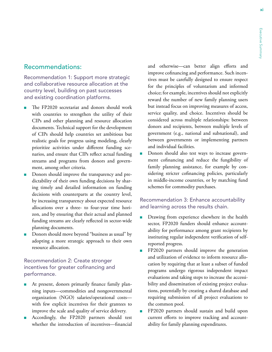#### Recommendations:

Recommendation 1: Support more strategic and collaborative resource allocation at the country level, building on past successes and existing coordination platforms.

- The FP2020 secretariat and donors should work with countries to strengthen the utility of their CIPs and other planning and resource allocation documents. Technical support for the development of CIPs should help countries set ambitious but realistic goals for progress using modeling, clearly prioritize activities under different funding scenarios, and ensure that CIPs reflect actual funding streams and programs from donors and government, among other criteria.
- Donors should improve the transparency and predictability of their own funding decisions by sharing timely and detailed information on funding decisions with counterparts at the country level, by increasing transparency about expected resource allocations over a three- to four-year time horizon, and by ensuring that their actual and planned funding streams are clearly reflected in sector-wide planning documents.
- Donors should move beyond "business as usual" by adopting a more strategic approach to their own resource allocation.

#### Recommendation 2: Create stronger incentives for greater cofinancing and performance.

- At present, donors primarily finance family planning inputs—commodities and nongovernmental organization (NGO) salaries/operational costs with few explicit incentives for their grantees to improve the scale and quality of service delivery.
- <sup>n</sup> Accordingly, the FP2020 partners should test whether the introduction of incentives—financial

and otherwise—can better align efforts and improve cofinancing and performance. Such incentives must be carefully designed to ensure respect for the principles of voluntarism and informed choice; for example, incentives should not explicitly reward the number of new family planning users but instead focus on improving measures of access, service quality, and choice. Incentives should be considered across multiple relationships: between donors and recipients, between multiple levels of government (e.g., national and subnational), and between governments or implementing partners and individual facilities.

Donors should also test ways to increase government cofinancing and reduce the fungibility of family planning assistance, for example by considering stricter cofinancing policies, particularly in middle-income countries, or by matching fund schemes for commodity purchases.

#### Recommendation 3: Enhance accountability and learning across the results chain.

- Drawing from experience elsewhere in the health sector, FP2020 funders should enhance accountability for performance among grant recipients by instituting regular independent verification of selfreported progress.
- FP2020 partners should improve the generation and utilization of evidence to inform resource allocation by requiring that at least a subset of funded programs undergo rigorous independent impact evaluations and taking steps to increase the accessibility and dissemination of existing project evaluations, potentially by creating a shared database and requiring submission of all project evaluations to the common pool.
- FP2020 partners should sustain and build upon current efforts to improve tracking and accountability for family planning expenditures.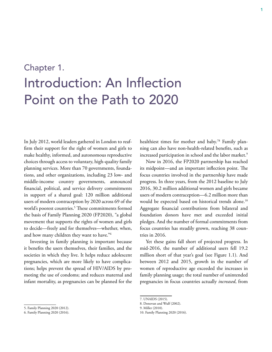# <span id="page-14-0"></span>Chapter 1. Introduction: An Inflection Point on the Path to 2020

In July 2012, world leaders gathered in London to reaffirm their support for the right of women and girls to make healthy, informed, and autonomous reproductive choices through access to voluntary, high-quality family planning services. More than 70 governments, foundations, and other organizations, including 23 low- and middle-income country governments, announced financial, political, and service delivery commitments in support of a shared goal: 120 million additional users of modern contraception by 2020 across 69 of the world's poorest countries.5 These commitments formed the basis of Family Planning 2020 (FP2020), "a global movement that supports the rights of women and girls to decide—freely and for themselves—whether, when, and how many children they want to have."6

Investing in family planning is important because it benefits the users themselves, their families, and the societies in which they live. It helps reduce adolescent pregnancies, which are more likely to have complications; helps prevent the spread of HIV/AIDS by promoting the use of condoms; and reduces maternal and infant mortality, as pregnancies can be planned for the healthiest times for mother and baby.<sup>78</sup> Family planning can also have non-health-related benefits, such as increased participation in school and the labor market.<sup>9</sup>

Now in 2016, the FP2020 partnership has reached its midpoint—and an important inflection point. The focus countries involved in the partnership have made progress. In three years, from the 2012 baseline to July 2016, 30.2 million additional women and girls became users of modern contraception—6.2 million more than would be expected based on historical trends alone.<sup>10</sup> Aggregate financial contributions from bilateral and foundation donors have met and exceeded initial pledges. And the number of formal commitments from focus countries has steadily grown, reaching 38 countries in 2016.

Yet these gains fall short of projected progress. In mid-2016, the number of additional users fell 19.2 million short of that year's goal (see Figure 1.1). And between 2012 and 2015, growth in the number of women of reproductive age exceeded the increases in family planning usage; the total number of unintended pregnancies in focus countries actually *increased*, from

<sup>5.</sup> Family Planning 2020 (2012).

<sup>6.</sup> Family Planning 2020 (2016).

<sup>7.</sup> UNAIDS (2015).

<sup>8.</sup> Donovan and Wulf (2002).

<sup>9.</sup> Miller (2010).

<sup>10.</sup> Family Planning 2020 (2016).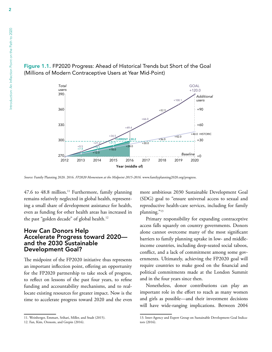

#### <span id="page-15-0"></span>Figure 1.1. FP2020 Progress: Ahead of Historical Trends but Short of the Goal (Millions of Modern Contraceptive Users at Year Mid-Point)

*Source:* Family Planning 2020. 2016. *FP2020 Momentum at the Midpoint 2015-2016.* www.familyplanning2020.org/progress.

47.6 to 48.8 million.<sup>11</sup> Furthermore, family planning remains relatively neglected in global health, representing a small share of development assistance for health, even as funding for other health areas has increased in the past "golden decade" of global health.<sup>12</sup>

#### How Can Donors Help Accelerate Progress toward 2020 and the 2030 Sustainable Development Goal?

The midpoint of the FP2020 initiative thus represents an important inflection point, offering an opportunity for the FP2020 partnership to take stock of progress, to reflect on lessons of the past four years, to refine funding and accountability mechanisms, and to reallocate existing resources for greater impact. Now is the time to accelerate progress toward 2020 and the even more ambitious 2030 Sustainable Development Goal (SDG) goal to "ensure universal access to sexual and reproductive health-care services, including for family planning."13

Primary responsibility for expanding contraceptive access falls squarely on country governments. Donors alone cannot overcome many of the most significant barriers to family planning uptake in low- and middleincome countries, including deep-seated social taboos, conflict, and a lack of commitment among some governments. Ultimately, achieving the FP2020 goal will require countries to make good on the financial and political commitments made at the London Summit and in the four years since then.

Nonetheless, donor contributions can play an important role in the effort to reach as many women and girls as possible—and their investment decisions will have wide-ranging implications. Between 2004

<sup>11.</sup> Weinberger, Emmart, Srihari, Miller, and Studt (2015).

<sup>12.</sup> Fan, Kim, Oroxom, and Grepin (2016).

<sup>13.</sup> Inter-Agency and Expert Group on Sustainable Development Goal Indicators (2016).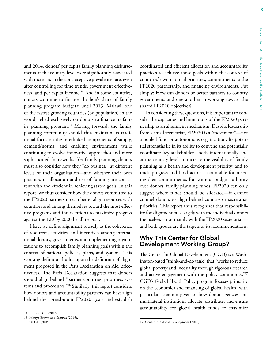<span id="page-16-0"></span>and 2014, donors' per capita family planning disbursements at the country level were significantly associated with increases in the contraceptive prevalence rate, even after controlling for time trends, government effectiveness, and per capita income.<sup>14</sup> And in some countries, donors continue to finance the lion's share of family planning program budgets; until 2013, Malawi, one of the fastest growing countries (by population) in the world, relied exclusively on donors to finance its family planning program.<sup>15</sup> Moving forward, the family planning community should thus maintain its traditional focus on the interlinked components of supply, demand/norms, and enabling environment while continuing to evolve innovative approaches and more sophisticated frameworks. Yet family planning donors must also consider how they "do business" at different levels of their organization—and whether their own practices in allocation and use of funding are consistent with and efficient in achieving stated goals. In this report, we thus consider how the donors committed to the FP2020 partnership can better align resources with countries and among themselves toward the most effective programs and interventions to maximize progress against the 120 by 2020 headline goal.

Here, we define alignment broadly as the coherence of resources, activities, and incentives among international donors, governments, and implementing organizations to accomplish family planning goals within the context of national policies, plans, and systems. This working definition builds upon the definition of alignment proposed in the Paris Declaration on Aid Effectiveness. The Paris Declaration suggests that donors should align behind "partner countries' priorities, systems and procedures."16 Similarly, this report considers how donors and accountability partners can best align behind the agreed-upon FP2020 goals and establish coordinated and efficient allocation and accountability practices to achieve those goals within the context of countries' own national priorities, commitments to the FP2020 partnership, and financing environments. Put simply: How can donors be better partners to country governments and one another in working toward the shared FP2020 objectives?

In considering these questions, it is important to consider the capacities and limitations of the FP2020 partnership as an alignment mechanism. Despite leadership from a small secretariat, FP2020 is a "movement"—not a pooled fund or autonomous organization. Its potential strengths lie in its ability to convene and potentially coordinate key stakeholders, both internationally and at the country level; to increase the visibility of family planning as a health and development priority; and to track progress and hold actors accountable for meeting their commitments. But without budget authority over donors' family planning funds, FP2020 can only suggest where funds should be allocated—it cannot compel donors to align behind country or secretariat priorities. This report thus recognizes that responsibility for alignment falls largely with the individual donors themselves—not mainly with the FP2020 secretariat and both groups are the targets of its recommendations.

#### Why This Center for Global Development Working Group?

The Center for Global Development (CGD) is a Washington-based "think-and-do tank" that "works to reduce global poverty and inequality through rigorous research and active engagement with the policy community."17 CGD's Global Health Policy program focuses primarily on the economics and financing of global health, with particular attention given to how donor agencies and multilateral institutions allocate, distribute, and ensure accountability for global health funds to maximize

<sup>14.</sup> Fan and Kim (2016).

<sup>15.</sup> Mbuya-Brown and Sapuwa (2015).

<sup>16.</sup> OECD (2005).

<sup>17.</sup> Center for Global Development (2016).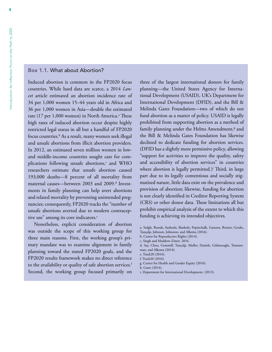#### <span id="page-17-0"></span>Box 1.1. What about Abortion?

Induced abortion is common in the FP2020 focus countries. While hard data are scarce, a 2014 *Lancet* article estimated an abortion incidence rate of 34 per 1,000 women 15–44 years old in Africa and 36 per 1,000 women in Asia—double the estimated rate (17 per 1,000 women) in North America.<sup>a</sup> These high rates of induced abortion occur despite highly restricted legal status in all but a handful of FP2020 focus countries.<sup>b</sup> As a result, many women seek illegal and unsafe abortions from illicit abortion providers. In 2012, an estimated seven million women in lowand middle-income countries sought care for complications following unsafe abortions,<sup>c</sup> and WHO researchers estimate that unsafe abortion caused 193,000 deaths—8 percent of all mortality from maternal causes—between 2003 and 2009.<sup>d</sup> Investments in family planning can help avert abortions and related mortality by preventing unintended pregnancies; consequently, FP2020 tracks the "number of unsafe abortions averted due to modern contraceptive use" among its core indicators.<sup>e</sup>

Nonetheless, explicit consideration of abortion was outside the scope of this working group for three main reasons. First, the working group's primary mandate was to examine alignment in family planning toward the stated FP2020 goals, and the FP2020 results framework makes no direct reference to the availability or quality of safe abortion services.<sup>f</sup> Second, the working group focused primarily on

three of the largest international donors for family planning—the United States Agency for International Development (USAID), UK's Department for International Development (DFID), and the Bill & Melinda Gates Foundation—two of which do not fund abortion as a matter of policy. USAID is legally prohibited from supporting abortion as a method of family planning under the Helms Amendment,<sup>g</sup> and the Bill & Melinda Gates Foundation has likewise declined to dedicate funding for abortion services. (DFID has a slightly more permissive policy, allowing "support for activities to improve the quality, safety and accessibility of abortion services" in countries where abortion is legally permitted.)<sup>i</sup> Third, in large part due to its legally contentious and socially stigmatized nature, little data exist on the prevalence and provision of abortion; likewise, funding for abortion is not clearly identified in Creditor Reporting System (CRS) or other donor data. These limitations all but prohibit empirical analysis of the extent to which this funding is achieving its intended objectives.

d. Say, Chou, Gemmill, Tunçalp, Moller, Daniels, Gülmezoglu, Temmerman, and Alkema (2014).

- g. Center for Health and Gender Equity (2016).
- h. Gates (2014).
- i. Department for International Development. (2013).

a. Sedgh, Bearak, Susheela, Bankole, Popinchalk, Ganatra, Rossier, Gerdts, Tunçalp, Johnson, Johnston, and Alkema (2016).

b. Center for Reproductive Rights (2014).

c. Singh and Maddow-Zimet. 2016.

e. Track20 (2016).

f. Track20 (2016).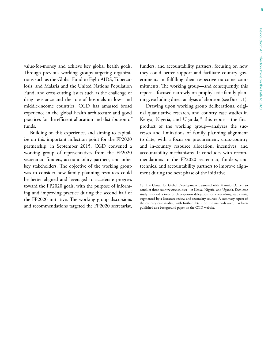value-for-money and achieve key global health goals. Through previous working groups targeting organizations such as the Global Fund to Fight AIDS, Tuberculosis, and Malaria and the United Nations Population Fund, and cross-cutting issues such as the challenge of drug resistance and the role of hospitals in low- and middle-income countries, CGD has amassed broad experience in the global health architecture and good practices for the efficient allocation and distribution of funds.

Building on this experience, and aiming to capitalize on this important inflection point for the FP2020 partnership, in September 2015, CGD convened a working group of representatives from the FP2020 secretariat, funders, accountability partners, and other key stakeholders. The objective of the working group was to consider how family planning resources could be better aligned and leveraged to accelerate progress toward the FP2020 goals, with the purpose of informing and improving practice during the second half of the FP2020 initiative. The working group discussions and recommendations targeted the FP2020 secretariat,

funders, and accountability partners, focusing on how they could better support and facilitate country governments in fulfilling their respective outcome commitments. The working group—and consequently, this report—focused narrowly on prophylactic family planning, excluding direct analysis of abortion (see Box 1.1).

Drawing upon working group deliberations, original quantitative research, and country case studies in Kenya, Nigeria, and Uganda,<sup>18</sup> this report-the final product of the working group—analyzes the successes and limitations of family planning alignment to date, with a focus on procurement, cross-country and in-country resource allocation, incentives, and accountability mechanisms. It concludes with recommendations to the FP2020 secretariat, funders, and technical and accountability partners to improve alignment during the next phase of the initiative.

<sup>18.</sup> The Center for Global Development partnered with MannionDaniels to conduct three country case studies—in Kenya, Nigeria, and Uganda. Each case study involved a two- or three-person delegation for a week-long study visit, augmented by a literature review and secondary sources. A summary report of the country case studies, with further details on the methods used, has been published as a background paper on the CGD website.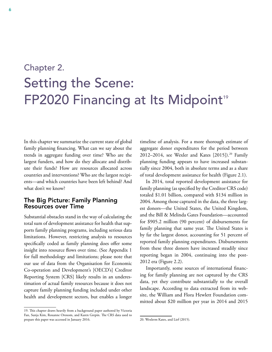# <span id="page-19-0"></span>Chapter 2. Setting the Scene: FP2020 Financing at Its Midpoint<sup>19</sup>

In this chapter we summarize the current state of global family planning financing. What can we say about the trends in aggregate funding over time? Who are the largest funders, and how do they allocate and distribute their funds? How are resources allocated across countries and interventions? Who are the largest recipients—and which countries have been left behind? And what don't we know?

#### The Big Picture: Family Planning Resources over Time

Substantial obstacles stand in the way of calculating the total sum of development assistance for health that supports family planning programs, including serious data limitations. However, restricting analysis to resources specifically coded as family planning does offer some insight into resource flows over time. (See Appendix 1 for full methodology and limitations; please note that our use of data from the Organisation for Economic Co-operation and Development's [OECD's] Creditor Reporting System [CRS] likely results in an underestimation of actual family resources because it does not capture family planning funding included under other health and development sectors, but enables a longer

timeline of analysis. For a more thorough estimate of aggregate donor expenditures for the period between 2012–2014, see Wexler and Kates [2015]).<sup>20</sup> Family planning funding appears to have increased substantially since 2004, both in absolute terms and as a share of total development assistance for health (Figure 2.1).

In 2014, total reported development assistance for family planning (as specified by the Creditor CRS code) totaled \$1.01 billion, compared with \$134 million in 2004. Among those captured in the data, the three largest donors—the United States, the United Kingdom, and the Bill & Melinda Gates Foundation—accounted for \$905.2 million (90 percent) of disbursements for family planning that same year. The United States is by far the largest donor, accounting for 51 percent of reported family planning expenditures. Disbursements from these three donors have increased steadily since reporting began in 2004, continuing into the post-2012 era (Figure 2.2).

Importantly, some sources of international financing for family planning are not captured by the CRS data, yet they contribute substantially to the overall landscape. According to data extracted from its website, the William and Flora Hewlett Foundation committed about \$20 million per year in 2014 and 2015

<sup>19.</sup> This chapter draws heavily from a background paper authored by Victoria Fan, Sunja Kim, Roxanne Oroxom, and Karen Grepin. The CRS data used to prepare this paper was accessed in January 2016.

<sup>20.</sup> Wexlerm Kates, and Lief (2015).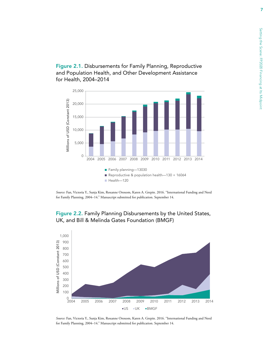<span id="page-20-0"></span>Figure 2.1. Disbursements for Family Planning, Reproductive and Population Health, and Other Development Assistance for Health, 2004–2014



*Source:* Fan, Victoria Y., Sunja Kim, Roxanne Oroxom, Karen A. Grepin. 2016. "International Funding and Need for Family Planning, 2004–14." Manuscript submitted for publication. September 14.



#### Figure 2.2. Family Planning Disbursements by the United States, UK, and Bill & Melinda Gates Foundation (BMGF)

*Source:* Fan, Victoria Y., Sunja Kim, Roxanne Oroxom, Karen A. Grepin. 2016. "International Funding and Need for Family Planning, 2004–14." Manuscript submitted for publication. September 14.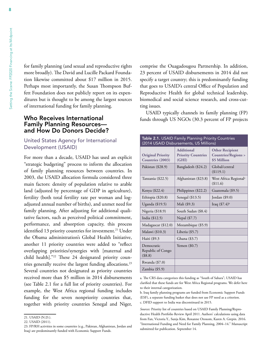<span id="page-21-0"></span>for family planning (and sexual and reproductive rights more broadly). The David and Lucille Packard Foundation likewise committed about \$17 million in 2015. Perhaps most importantly, the Susan Thompson Buffett Foundation does not publicly report on its expenditures but is thought to be among the largest sources of international funding for family planning.

#### Who Receives International Family Planning Resources and How Do Donors Decide?

#### United States Agency for International Development (USAID)

For more than a decade, USAID has used an explicit "strategic budgeting" process to inform the allocation of family planning resources between countries. In 2003, the USAID allocation formula considered three main factors: density of population relative to arable land (adjusted by percentage of GDP in agriculture), fertility (both total fertility rate per woman and logadjusted annual number of births), and unmet need for family planning. After adjusting for additional qualitative factors, such as perceived political commitment, performance, and absorption capacity, this process identified 13 priority countries for investment.<sup>21</sup> Under the Obama administration's Global Health Initiative, another 11 priority countries were added to "reflect overlapping priorities/synergies with [maternal and child health]."22 These 24 designated priority countries generally receive the largest funding allocations.<sup>23</sup> Several countries not designated as priority countries received more than \$5 million in 2014 disbursements (see Table 2.1 for a full list of priority countries). For example, the West Africa regional funding includes funding for the seven nonpriority countries that, together with priority countries Senegal and Niger,

comprise the Ouagadougou Partnership. In addition, 23 percent of USAID disbursements in 2014 did not specify a target country; this is predominantly funding that goes to USAID's central Office of Population and Reproductive Health for global technical leadership, biomedical and social science research, and cross-cutting issues.

USAID typically channels its family planning (FP) funds through US NGOs (30.3 percent of FP projects

| Table 2.1. USAID Family Planning Priority Countries<br>(2014 USAID Disbursements, US Millions) |                                                         |                                                                        |  |  |  |
|------------------------------------------------------------------------------------------------|---------------------------------------------------------|------------------------------------------------------------------------|--|--|--|
| <b>Original Priority</b><br>Countries (2003)                                                   | <b>Additional</b><br><b>Priority Countries</b><br>(GHI) | <b>Other Recipient</b><br><b>Countries/Regions &gt;</b><br>\$5 Million |  |  |  |
| Pakistan (\$28.9)                                                                              | Bangladesh (\$24.2)                                     | Global/central<br>(\$119.1)                                            |  |  |  |
| Tanzania (\$22.5)                                                                              | Afghanistan (\$23.8)                                    | West Africa Regional <sup>a</sup><br>(\$11.6)                          |  |  |  |
| Kenya (\$22.4)                                                                                 | Philippines (\$22.2)                                    | Guatemala (\$9.5)                                                      |  |  |  |
| Ethiopia $(\$20.8)$                                                                            | Senegal (\$13.5)                                        | Jordan $(\$9.0)$                                                       |  |  |  |
| Uganda (\$19.5)                                                                                | Mali (\$9.3)                                            | Iraq $(\$7.4)^{b}$                                                     |  |  |  |
| Nigeria (\$18.9)                                                                               | South Sudan (\$8.4)                                     |                                                                        |  |  |  |
| India (\$12.5)                                                                                 | Nepal (\$7.7)                                           |                                                                        |  |  |  |
| Madagascar (\$12.0)                                                                            | Mozambique (\$5.9)                                      |                                                                        |  |  |  |
| Malawi (\$10.3)                                                                                | Liberia $(\$5.7)$                                       |                                                                        |  |  |  |
| Haiti (\$9.3                                                                                   | Ghana (\$3.7)                                           |                                                                        |  |  |  |
| Democratic<br>Republic of Congo<br>(\$8.8)                                                     | Yemen $(\$0.7)$                                         |                                                                        |  |  |  |
| Rwanda (\$7.0)                                                                                 |                                                         |                                                                        |  |  |  |
| Zambia (\$5.9)                                                                                 |                                                         |                                                                        |  |  |  |

a. The CRS data categorizes this funding as "South of Sahara"; USAID has clarified that these funds are for West Africa Regional programs. We defer here to their internal categorization.

b. Iraq family planning programs are funded from Economic Support Funds (ESF), a separate funding basket that does not use FP need as a criterion. c. DFID support to India was discontinued in 2015.

*Sources:* Priority list of countries based on USAID Family Planning/Reproductive Health Portfolio Review April 2011. Authors' calculations using data from Fan, Victoria Y., Sunja Kim, Roxanne Oroxom, Karen A. Grepin. 2016. "International Funding and Need for Family Planning, 2004–14." Manuscript submitted for publication. September 14.

<sup>21.</sup> USAID (N.D.).

<sup>22.</sup> USAID (2011).

<sup>23.</sup> FP/RH activities in some countries (e.g., Pakistan, Afghanistan, Jordan and Iraq) are predominantly funded with Economic Support Funds.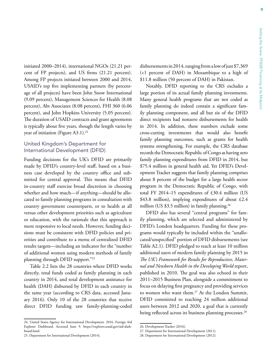9

initiated 2000–2014), international NGOs (21.21 percent of FP projects), and US firms (21.21 percent). Among FP projects initiated between 2000 and 2014, USAID's top five implementing partners (by percentage of all projects) have been John Snow International (9.09 percent), Management Sciences for Health (8.08 percent), Abt Associates (8.08 percent), FHI 360 (6.06 percent), and John Hopkins University (5.05 percent). The duration of USAID contracts and grant agreements is typically about five years, though the length varies by year of initiation (Figure A3.1).<sup>24</sup>

#### United Kingdom's Department for International Development (DFID)

Funding decisions for the UK's DFID are primarily made by DFID's country-level staff, based on a business case developed by the country office and submitted for central approval. This means that DFID in-country staff exercise broad discretion in choosing whether and how much—if anything—should be allocated to family planning programs in consultation with country government counterparts, or to health at all versus other development priorities such as agriculture or education, with the rationale that this approach is more responsive to local needs. However, funding decisions must be consistent with DFID policies and priorities and contribute to a menu of centralized DFID results targets—including an indicator for the "number of additional women using modern methods of family planning through DFID support."25

Table 2.2 lists the 28 countries where DFID works directly, total funds coded as family planning in each country in 2014, and total development assistance for health (DAH) disbursed by DFID in each country in the same year (according to CRS data, accessed January 2016). Only 10 of the 28 countries that receive direct DFID funding saw family-planning-coded disbursements in 2014, ranging from a low of just \$7,369 (<1 percent of DAH) in Mozambique to a high of \$11.8 million (50 percent of DAH) in Pakistan.

Notably, DFID reporting to the CRS excludes a large portion of its actual family planning investments. Many general health programs that are not coded as family planning do indeed contain a significant family planning component, and all but six of the DFID direct recipients had nonzero disbursements for health in 2014. In addition, these numbers exclude some cross-cutting investments that would also benefit family planning outcomes, such as grants for health systems strengthening. For example, the CRS database records the Democratic Republic of Congo as having zero family planning expenditures from DFID in 2014, but \$75.4 million in general health aid. Yet DFID's Development Tracker suggests that family planning comprises about 8 percent of the budget for a large health sector program in the Democratic Republic of Congo, with total FY 2014–15 expenditures of £30.4 million (US \$43.8 million), implying expenditures of about £2.4 million (US \$3.5 million) in family planning.<sup>26</sup>

DFID also has several "central programs" for family planning, which are selected and administered by DFID's London headquarters. Funding for these programs would typically be included within the "unallocated/unspecified" portion of DFID disbursements (see Table A2.1). DFID pledged to reach at least 10 million additional users of modern family planning by 2015 in *The UK's Framework for Results for Reproductive, Maternal and Newborn Health in the Developing World* report, published in 2010. The goal was also echoed in their 2011–2015 Business Plan, alongside a commitment to focus on delaying first pregnancy and providing services to women who want them.<sup>27</sup> At the London Summit, DFID committed to reaching 24 million additional users between 2012 and 2020, a goal that is currently being reflected across its business planning processes.<sup>28</sup>

<sup>24.</sup> United States Agency for International Development. 2016. Foreign Aid Explorer Dashboard. Accessed June 9. https://explorer.usaid.gov/aid-dashboard.html.

<sup>25.</sup> Department for International Development (2014).

<sup>26.</sup> Development Tracker (2016).

<sup>27.</sup> Department for International Development (2011).

<sup>28.</sup> Department for International Development (2012).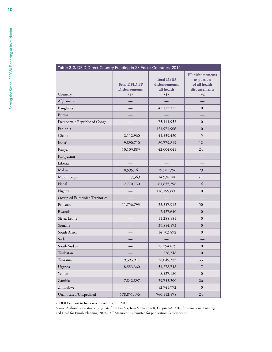<span id="page-23-0"></span>

| Table 2.2. DFID Direct Country Funding in 28 Focus Countries, 2014 |                                                         |                                                              |                                                                         |  |  |
|--------------------------------------------------------------------|---------------------------------------------------------|--------------------------------------------------------------|-------------------------------------------------------------------------|--|--|
| <b>Country</b>                                                     | <b>Total DFID FP</b><br><b>Disbursements</b><br>$($ \$) | <b>Total DFID</b><br>disbursements,<br>all health<br>$($ \$) | FP disbursements<br>as portion<br>of all health<br>disbursements<br>(%) |  |  |
| Afghanistan                                                        |                                                         |                                                              |                                                                         |  |  |
| Bangladesh                                                         |                                                         | 47,172,271                                                   | $\Omega$                                                                |  |  |
| Burma                                                              |                                                         |                                                              |                                                                         |  |  |
| Democratic Republic of Congo                                       |                                                         | 75,414,953                                                   | $\overline{0}$                                                          |  |  |
| Ethiopia                                                           |                                                         | 121,971,906                                                  | $\overline{0}$                                                          |  |  |
| Ghana                                                              | 2,112,960                                               | 44,539,420                                                   | 5                                                                       |  |  |
| India <sup>ª</sup>                                                 | 9,890,710                                               | 80,779,819                                                   | 12                                                                      |  |  |
| Kenya                                                              | 10,103,883                                              | 42,004,041                                                   | 24                                                                      |  |  |
| Kyrgyzstan                                                         |                                                         |                                                              |                                                                         |  |  |
| Liberia                                                            |                                                         |                                                              |                                                                         |  |  |
| Malawi                                                             | 8,595,161                                               | 29,587,396                                                   | 29                                                                      |  |  |
| Mozambique                                                         | 7,369                                                   | 14,938,180                                                   | <1                                                                      |  |  |
| Nepal                                                              | 2,770,730                                               | 61, 655, 398                                                 | $\overline{4}$                                                          |  |  |
| Nigeria                                                            |                                                         | 116,199,860                                                  | $\boldsymbol{0}$                                                        |  |  |
| Occupied Palestinian Territories                                   |                                                         |                                                              |                                                                         |  |  |
| Pakistan                                                           | 11,756,793                                              | 23,357,912                                                   | 50                                                                      |  |  |
| Rwanda                                                             |                                                         | 2,427,640                                                    | $\Omega$                                                                |  |  |
| Sierra Leone                                                       |                                                         | 11,288,581                                                   | $\boldsymbol{0}$                                                        |  |  |
| Somalia                                                            |                                                         | 39,854,573                                                   | $\overline{0}$                                                          |  |  |
| South Africa                                                       |                                                         | 14,703,892                                                   | $\overline{0}$                                                          |  |  |
| Sudan                                                              |                                                         |                                                              |                                                                         |  |  |
| South Sudan                                                        |                                                         | 25,294,879                                                   | $\boldsymbol{0}$                                                        |  |  |
| Tajikistan                                                         |                                                         | 276,348                                                      | $\boldsymbol{0}$                                                        |  |  |
| Tanzania                                                           | 9,393,917                                               | 28,049,355                                                   | 33                                                                      |  |  |
| Uganda                                                             | 8,553,360                                               | 51,278,748                                                   | 17                                                                      |  |  |
| Yemen                                                              |                                                         | 8,527,180                                                    | $\mathbf{0}$                                                            |  |  |
| Zambia                                                             | 7,842,897                                               | 29,753,200                                                   | 26                                                                      |  |  |
| Zimbabwe                                                           |                                                         | 52,741,972                                                   | $\overline{0}$                                                          |  |  |
| Unallocated/Unspecified                                            | 178,851,436                                             | 760,512,578                                                  | 24                                                                      |  |  |

a. DFID support to India was discontinued in 2015.

*Source:* Authors' calculations using data from Fan VY, Kim S, Oroxom R, Grepin KA. 2016. "International Funding and Need for Family Planning, 2004–14." Manuscript submitted for publication. September 14.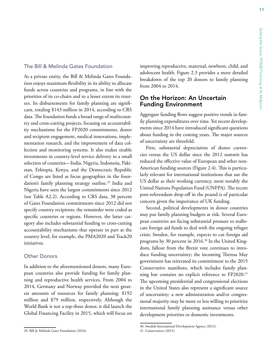#### <span id="page-24-0"></span>The Bill & Melinda Gates Foundation

As a private entity, the Bill & Melinda Gates Foundation enjoys maximum flexibility in its ability to allocate funds across countries and programs, in line with the priorities of its co-chairs and to a lesser extent its trustees. Its disbursements for family planning are significant, totaling \$143 million in 2014, according to CRS data. The foundation funds a broad range of multicountry and cross-cutting projects, focusing on accountability mechanisms for the FP2020 commitments, donor and recipient engagement, medical innovations, implementation research, and the improvement of data collection and monitoring systems. It also makes sizable investments in country-level service delivery in a small selection of countries—India, Nigeria, Indonesia, Pakistan, Ethiopia, Kenya, and the Democratic Republic of Congo are listed as focus geographies in the foundation's family planning strategy outline.<sup>29</sup> India and Nigeria have seen the largest commitments since 2012 (see Table A2.2). According to CRS data, 38 percent of Gates Foundation commitments since 2012 did not specify country recipients; the remainder were coded as specific countries or regions. However, the latter category also includes substantial funding to cross-cutting accountability mechanisms that operate in part at the country level, for example, the PMA2020 and Track20 initiatives.

#### Other Donors

In addition to the aforementioned donors, many European countries also provide funding for family planning and reproductive health services. From 2004 to 2014, Germany and Norway provided the next greatest amounts of resources for family planning: \$192 million and \$79 million, respectively. Although the World Bank is not a top-three donor, it did launch the Global Financing Facility in 2015, which will focus on improving reproductive, maternal, newborn, child, and adolescent health. Figure 2.3 provides a more detailed breakdown of the top 20 donors to family planning from 2004 to 2014.

#### On the Horizon: An Uncertain Funding Environment

Aggregate funding flows suggest positive trends in family planning expenditures over time. Yet recent developments since 2014 have introduced significant questions about funding in the coming years. The major sources of uncertainty are threefold.

First, substantial depreciation of donor currencies versus the US dollar since the 2012 summit has reduced the effective value of European and other non-American funding sources (Figure 2.4). This is particularly relevant for international institutions that use the US dollar as their working currency, most notably the United Nations Population Fund (UNFPA). The recent post-referendum drop-off in the pound is of particular concern given the importance of UK funding.

Second, political developments in donor countries may put family planning budgets at risk. Several European countries are facing substantial pressure to reallocate foreign aid funds to deal with the ongoing refugee crisis; Sweden, for example, expects to cut foreign aid programs by 30 percent in 2016.30 In the United Kingdom, fallout from the Brexit vote continues to introduce funding uncertainty; the incoming Theresa May government has reiterated its commitment to the 2015 Conservative manifesto, which includes family planning but contains no explicit reference to FP2020.31 The upcoming presidential and congressional elections in the United States also represent a significant source of uncertainty; a new administration and/or congressional majority may be more or less willing to prioritize international family planning assistance versus other development priorities or domestic investments.

<sup>29.</sup> Bill & Melinda Gates Foundation (2016).

<sup>30.</sup> Swedish International Development Agency (2012).

<sup>31.</sup> Conservatives (2015).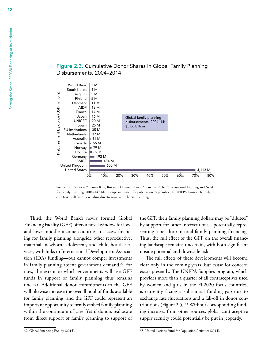

Figure 2.3. Cumulative Donor Shares in Global Family Planning Disbursements, 2004–2014

Source: Fan, Victoria Y., Sunja Kim, Roxanne Oroxom, Karen A. Grepin. 2016. "International Funding and Need for Family Planning, 2004–14." Manuscript submitted for publication. September 14. UNFPA figures refer only to core (assessed) funds, excluding direct/earmarked bilateral spending.

0% 10% 20% 30% 40% 50% 60% 70% 80%

Third, the World Bank's newly formed Global Financing Facility (GFF) offers a novel window for lowand lower-middle income countries to access financing for family planning alongside other reproductive, maternal, newborn, adolescent, and child health services, with links to International Development Association (IDA) funding—but cannot compel investments in family planning absent government demand.32 For now, the extent to which governments will use GFF funds in support of family planning thus remains unclear. Additional donor commitments to the GFF will likewise increase the overall pool of funds available for family planning, and the GFF could represent an important opportunity to firmly embed family planning within the continuum of care. Yet if donors reallocate from direct support of family planning to support of the GFF, their family planning dollars may be "diluted" by support for other interventions—potentially representing a net drop in total family planning financing. Thus, the full effect of the GFF on the overall financing landscape remains uncertain, with both significant upside potential and downside risk.

4,113 M

The full effects of these developments will become clear only in the coming years, but cause for concern exists presently. The UNFPA Supplies program, which provides more than a quarter of all contraceptives used by women and girls in the FP2020 focus countries, is currently facing a substantial funding gap due to exchange rate fluctuations and a fall-off in donor contributions (Figure 2.5).<sup>33</sup> Without corresponding funding increases from other sources, global contraceptive supply security could potentially be put in jeopardy.

<sup>32.</sup> Global Financing Facility (2015).

<span id="page-25-0"></span><sup>12</sup>

<sup>33.</sup> United Nations Fund for Population Activities (2014).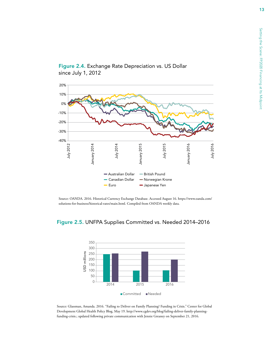13



<span id="page-26-0"></span>Figure 2.4. Exchange Rate Depreciation vs. US Dollar since July 1, 2012

Source: OANDA. 2016. Historical Currency Exchange Database. Accessed August 16. [https://www.oanda.com/](https://www.oanda.com/solutions-for-business/historical-rates/main.html) [solutions-for-business/historical-rates/main.html.](https://www.oanda.com/solutions-for-business/historical-rates/main.html) Compiled from OANDA weekly data.





Source: Glassman, Amanda. 2016. "Failing to Deliver on Family Planning? Funding in Crisis." Center for Global Development Global Health Policy Blog, May 19. [http://www.cgdev.org/blog/failing-deliver-family-planning](http://www.cgdev.org/blog/failing-deliver-family-planning-funding-crisis)[funding-crisis](http://www.cgdev.org/blog/failing-deliver-family-planning-funding-crisis).; updated following private communication with Jennie Greaney on September 21, 2016.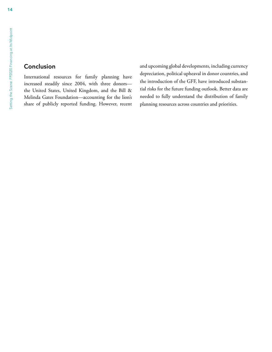#### <span id="page-27-0"></span>Conclusion

International resources for family planning have increased steadily since 2004, with three donors the United States, United Kingdom, and the Bill & Melinda Gates Foundation—accounting for the lion's share of publicly reported funding. However, recent and upcoming global developments, including currency depreciation, political upheaval in donor countries, and the introduction of the GFF, have introduced substantial risks for the future funding outlook. Better data are needed to fully understand the distribution of family planning resources across countries and priorities.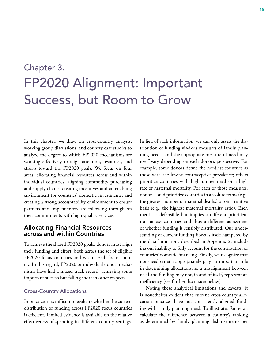## <span id="page-28-0"></span>Chapter 3. FP2020 Alignment: Important Success, but Room to Grow

In this chapter, we draw on cross-country analysis, working group discussions, and country case studies to analyze the degree to which FP2020 mechanisms are working effectively to align attention, resources, and efforts toward the FP2020 goals. We focus on four areas: allocating financial resources across and within individual countries, aligning commodity purchasing and supply chains, creating incentives and an enabling environment for countries' domestic investments, and creating a strong accountability environment to ensure partners and implementers are following through on their commitments with high-quality services.

#### Allocating Financial Resources across and within Countries

To achieve the shared FP2020 goals, donors must align their funding and effort, both across the set of eligible FP2020 focus countries and within each focus country. In this regard, FP2020 or individual donor mechanisms have had a mixed track record, achieving some important success but falling short in other respects.

#### Cross-Country Allocations

In practice, it is difficult to evaluate whether the current distribution of funding across FP2020 focus countries is efficient. Limited evidence is available on the relative effectiveness of spending in different country settings. In lieu of such information, we can only assess the distribution of funding vis-à-vis measures of family planning need—and the appropriate measure of need may itself vary depending on each donor's perspective. For example, some donors define the neediest countries as those with the lowest contraceptive prevalence; others prioritize countries with high unmet need or a high rate of maternal mortality. For each of those measures, donors could prioritize countries in absolute terms (e.g., the greatest number of maternal deaths) or on a relative basis (e.g., the highest maternal mortality ratio). Each metric is defensible but implies a different prioritization across countries and thus a different assessment of whether funding is sensibly distributed. Our understanding of current funding flows is itself hampered by the data limitations described in Appendix 2, including our inability to fully account for the contribution of countries' domestic financing. Finally, we recognize that non-need criteria appropriately play an important role in determining allocations, so a misalignment between need and funding may not, in and of itself, represent an inefficiency (see further discussion below).

Noting these analytical limitations and caveats, it is nonetheless evident that current cross-country allocation practices have not consistently aligned funding with family planning need. To illustrate, Fan et al. calculate the difference between a country's ranking as determined by family planning disbursements per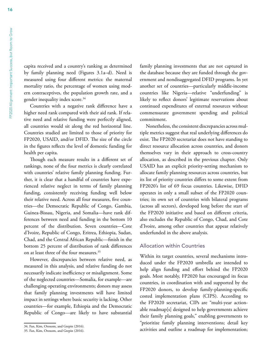capita received and a country's ranking as determined by family planning need (Figures 3.1a–d). Need is measured using four different metrics: the maternal mortality ratio, the percentage of women using modern contraceptives, the population growth rate, and a gender inequality index score.34

Countries with a negative rank difference have a higher need rank compared with their aid rank. If relative need and relative funding were perfectly aligned, all countries would sit along the red horizontal line. Countries studied are limited to those of priority for FP2020, USAID, and/or DFID. The size of the circle in the figures reflects the level of domestic funding for health per capita.

Though each measure results in a different set of rankings, none of the four metrics is clearly correlated with countries' relative family planning funding. Further, it is clear that a handful of countries have experienced relative neglect in terms of family planning funding, consistently receiving funding well below their relative need. Across all four measures, five countries—the Democratic Republic of Congo, Gambia, Guinea-Bissau, Nigeria, and Somalia—have rank differences between need and funding in the bottom 10 percent of the distribution. Seven countries—Cote d'Ivoire, Republic of Congo, Eritrea, Ethiopia, Sudan, Chad, and the Central African Republic—finish in the bottom 25 percent of distribution of rank differences on at least three of the four measures.<sup>35</sup>

However, discrepancies between relative need, as measured in this analysis, and relative funding do not necessarily indicate inefficiency or misalignment. Some of the neglected countries—Somalia, for example—are challenging operating environments; donors may assess that family planning investments will have limited impact in settings where basic security is lacking. Other countries—for example, Ethiopia and the Democratic Republic of Congo—are likely to have substantial

family planning investments that are not captured in the database because they are funded through the government and nondisaggregated DFID programs. In yet another set of countries—particularly middle-income countries like Nigeria—relative "underfunding" is likely to reflect donors' legitimate reservations about continued expenditures of external resources without commensurate government spending and political commitment.

Nonetheless, the consistent discrepancies across multiple metrics suggest that real underlying differences do exist. The FP2020 secretariat does not have standing to direct resource allocation across countries, and donors themselves vary in their approach to cross-country allocation, as described in the previous chapter. Only USAID has an explicit priority-setting mechanism to allocate family planning resources across countries, but its list of priority countries differs to some extent from FP2020's list of 69 focus countries. Likewise, DFID operates in only a small subset of the FP2020 countries; its own set of countries with bilateral programs (across all sectors), developed long before the start of the FP2020 initiative and based on different criteria, also excludes the Republic of Congo, Chad, and Cote d'Ivoire, among other countries that appear relatively underfunded in the above analysis.

#### Allocation within Countries

Within its target countries, several mechanisms introduced under the FP2020 umbrella are intended to help align funding and effort behind the FP2020 goals. Most notably, FP2020 has encouraged its focus countries, in coordination with and supported by the FP2020 donors, to develop family-planning-specific costed implementation plans (CIPS). According to the FP2020 secretariat, CIPs are "multi-year actionable roadmap[s] designed to help governments achieve their family planning goals," enabling governments to "prioritize family planning interventions; detail key activities and outline a roadmap for implementation;

<sup>34.</sup> Fan, Kim, Oroxom, and Grepin (2016).

<sup>35.</sup> Fan, Kim, Oroxom, and Grepin (2016).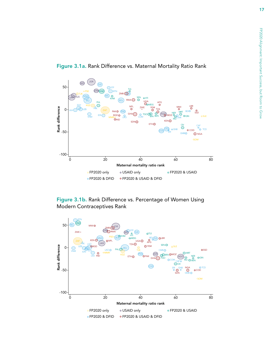

<span id="page-30-0"></span>Figure 3.1a. Rank Difference vs. Maternal Mortality Ratio Rank



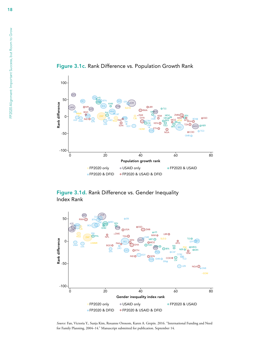

<span id="page-31-0"></span>Figure 3.1c. Rank Difference vs. Population Growth Rank





*Source:* Fan, Victoria Y., Sunja Kim, Roxanne Oroxom, Karen A. Grepin. 2016. "International Funding and Need for Family Planning, 2004–14." Manuscript submitted for publication. September 14.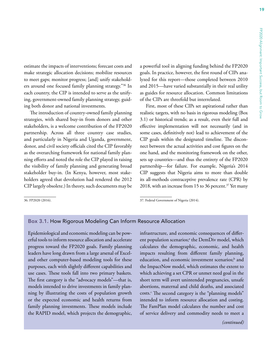<span id="page-32-0"></span>estimate the impacts of interventions; forecast costs and make strategic allocation decisions; mobilize resources to meet gaps; monitor progress; [and] unify stakeholders around one focused family planning strategy."36 In each country, the CIP is intended to serve as the unifying, government-owned family planning strategy, guiding both donor and national investments.

The introduction of country-owned family planning strategies, with shared buy-in from donors and other stakeholders, is a welcome contribution of the FP2020 partnership. Across all three country case studies, and particularly in Nigeria and Uganda, government, donor, and civil society officials cited the CIP favorably as the overarching framework for national family planning efforts and noted the role the CIP played in raising the visibility of family planning and generating broad stakeholder buy-in. (In Kenya, however, most stakeholders agreed that devolution had rendered the 2012 CIP largely obsolete.) In theory, such documents may be

36. FP2020 (2016).

a powerful tool in aligning funding behind the FP2020 goals. In practice, however, the first round of CIPs analyzed for this report—those completed between 2010 and 2015—have varied substantially in their real utility as guides for resource allocation. Common limitations of the CIPs are threefold but interrelated.

First, most of these CIPs set aspirational rather than realistic targets, with no basis in rigorous modeling (Box 3.1) or historical trends; as a result, even their full and effective implementation will not necessarily (and in some cases, definitively not) lead to achievement of the CIP goals within the designated timeline. The disconnect between the actual activities and cost figures on the one hand, and the monitoring framework on the other, sets up countries—and thus the entirety of the FP2020 partnership—for failure. For example, Nigeria's 2014 CIP suggests that Nigeria aims to more than double its all-methods contraceptive prevalence rate (CPR) by 2018, with an increase from 15 to 36 percent.<sup>37</sup> Yet many

37. Federal Government of Nigeria (2014).

#### Box 3.1. How Rigorous Modeling Can Inform Resource Allocation

Epidemiological and economic modeling can be powerful tools to inform resource allocation and accelerate progress toward the FP2020 goals. Family planning leaders have long drawn from a large arsenal of Exceland other computer-based modeling tools for these purposes, each with slightly different capabilities and use cases. These tools fall into two primary baskets. The first category is the "advocacy models"—that is, models intended to drive investments in family planning by illustrating the costs of population growth or the expected economic and health returns from family planning investments. These models include the RAPID model, which projects the demographic, infrastructure, and economic consequences of different population scenarios;<sup>a</sup> the DemDiv model, which calculates the demographic, economic, and health impacts resulting from different family planning, education, and economic investment scenarios;<sup>b</sup> and the ImpactNow model, which estimates the extent to which achieving a set CPR or unmet need goal in the short term will avert unintended pregnancies, unsafe abortions, maternal and child deaths, and associated costs.<sup>c</sup> The second category is the "planning models" intended to inform resource allocation and costing. The FamPlan model calculates the number and cost of service delivery and commodity needs to meet a

#### *(continued)*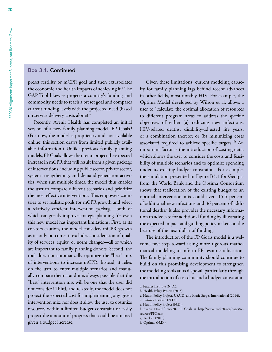#### Box 3.1. Continued

preset fertility or mCPR goal and then extrapolates the economic and health impacts of achieving it.<sup>d</sup> The GAP Tool likewise projects a country's funding and commodity needs to reach a preset goal and compares current funding levels with the projected need (based on service delivery costs alone).<sup>e</sup>

Recently, Avenir Health has completed an initial version of a new family planning model, FP Goals.<sup>f</sup> (For now, the model is proprietary and not available online; this section draws from limited publicly available information.) Unlike previous family planning models, FP Goals allows the user to project the expected increase in mCPR that will result from a given package of interventions, including public sector, private sector, system strengthening, and demand generation activities; when run multiple times, the model thus enables the user to compare different scenarios and prioritize the most effective interventions. This empowers countries to set realistic goals for mCPR growth and select a relatively efficient intervention package—both of which can greatly improve strategic planning. Yet even this new model has important limitations. First, as its creators caution, the model considers mCPR growth as its only outcome; it excludes consideration of quality of services, equity, or norm changes—all of which are important to family planning donors. Second, the tool does not automatically optimize the "best" mix of interventions to increase mCPR. Instead, it relies on the user to enter multiple scenarios and manually compare them—and it is always possible that the "best" intervention mix will be one that the user did not consider.g Third, and relatedly, the model does not project the expected cost for implementing any given intervention mix, nor does it allow the user to optimize resources within a limited budget constraint or easily project the amount of progress that could be attained given a budget increase.

Given these limitations, current modeling capacity for family planning lags behind recent advances in other fields, most notably HIV. For example, the Optima Model developed by Wilson et al. allows a user to "calculate the optimal allocation of resources to different program areas to address the specific objectives of either (a) reducing new infections, HIV-related deaths, disability-adjusted life years, or a combination thereof; or (b) minimizing costs associated required to achieve specific targets."h An important factor is the introduction of costing data, which allows the user to consider the costs and feasibility of multiple scenarios and to optimize spending under its existing budget constraints. For example, the simulation presented in Figure B3.1 for Georgia from the World Bank and the Optima Consortium shows that reallocation of the existing budget to an optimal intervention mix could avert 15.5 percent of additional new infections and 36 percent of additional deaths.<sup>i</sup> It also provides the necessary information to advocate for additional funding by illustrating the expected impact and guiding policymakers on the best use of the next dollar of funding.

The introduction of the FP Goals model is a welcome first step toward using more rigorous mathematical modeling to inform FP resource allocation. The family planning community should continue to build on this promising development to strengthen the modeling tools at its disposal, particularly through the introduction of cost data and a budget constraint.

20

a. Futures Institute (N.D.).

b. Health Policy Project (2015).

c. Health Policy Project, USAID, and Marie Stopes International (2014).

d. Futures Institute (N.D.).

e. Health Policy Project (N.D.).

f. Avenir Health/Track20. FP Goals at [http://www.track20.org/pages/re](http://www.track20.org/pages/resources/FPGoals)[sources/FPGoals](http://www.track20.org/pages/resources/FPGoals).

g. Track20 (2016).

h. Optima. (N.D.).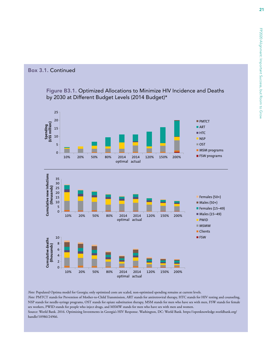#### <span id="page-34-0"></span>Box 3.1. Continued

#### Figure B3.1. Optimized Allocations to Minimize HIV Incidence and Deaths by 2030 at Different Budget Levels (2014 Budget)\*



*Note:* Populated Optima model for Georgia; only optimized costs are scaled, non-optimized spending remains at current levels. *Note:* PMTCT stands for Prevention of Mother-to-Child Transmission, ART stands for antiretroviral therapy, HTC stands for HIV testing and counseling, NSP stands for needle-syringe programs, OST stands for opiate substitution therapy, MSM stands for men who have sex with men, FSW stands for female sex workers, PWID stands for people who inject drugs, and MSMW stands for men who have sex with men and women. Source: World Bank. 2016. Optimizing Investments in Georgia's HIV Response. Washington, DC: World Bank. [https://openknowledge.worldbank.org/](https://openknowledge.worldbank.org/handle/10986/24966) [handle/10986/24966](https://openknowledge.worldbank.org/handle/10986/24966).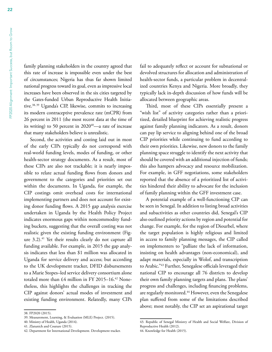<span id="page-35-0"></span>family planning stakeholders in the country agreed that this rate of increase is impossible even under the best of circumstances; Nigeria has thus far shown limited national progress toward its goal, even as impressive local increases have been observed in the six cities targeted by the Gates-funded Urban Reproductive Health Initiative.<sup>38, 39</sup> Uganda's CIP, likewise, commits to increasing its modern contraceptive prevalence rate (mCPR) from 26 percent in 2011 (the most recent data at the time of its writing) to 50 percent in  $2020^{40}$ —a rate of increase that many stakeholders believe is unrealistic.

Second, the activities and costing laid out in most of the early CIPs typically do not correspond with real-world funding levels, modes of funding, or other health-sector strategy documents. As a result, most of these CIPs are also not trackable; it is nearly impossible to relate actual funding flows from donors and government to the categories and priorities set out within the documents. In Uganda, for example, the CIP costings omit overhead costs for international implementing partners and does not account for existing donor funding flows. A 2015 gap analysis exercise undertaken in Uganda by the Health Policy Project indicates enormous gaps within noncommodity funding buckets, suggesting that the overall costing was not realistic given the existing funding environment (Figure 3.2).<sup>41</sup> Yet their results clearly do not capture all funding available. For example, in 2015 the gap analysis indicates that less than \$1 million was allocated in Uganda for service delivery and access; but according to the UK development tracker, DFID disbursements to a Marie Stopes–led service delivery consortium alone totaled more than  $£4$  million in FY 2015–16.<sup>42</sup> Nonetheless, this highlights the challenges in tracking the CIP against donors' actual modes of investment and existing funding environment. Relatedly, many CIPs

fail to adequately reflect or account for subnational or devolved structures for allocation and administration of health-sector funds, a particular problem in decentralized countries Kenya and Nigeria. More broadly, they typically lack in-depth discussion of how funds will be allocated between geographic areas.

Third, most of these CIPs essentially present a "wish list" of activity categories rather than a prioritized, detailed blueprint for achieving realistic progress against family planning indicators. As a result, donors can pay lip service to aligning behind one of the broad CIP priorities while continuing to fund according to their own priorities. Likewise, new donors to the family planning space struggle to identify the next activity that should be covered with an additional injection of funds; this also hampers advocacy and resource mobilization. For example, in GFF negotiations, some stakeholders reported that the absence of a prioritized list of activities hindered their ability to advocate for the inclusion of family planning within the GFF investment case.

A potential example of a well-functioning CIP can be seen in Senegal. In addition to listing broad activities and subactivities as other countries did, Senegal's CIP also outlined priority actions by region and potential for change. For example, for the region of Diourbel, where the target population is highly religious and limited in access to family planning messages, the CIP called on implementers to "palliate the lack of information, insisting on health advantages (non-economical), and adapt materials, especially in Wolof, and transcription to Arabic."43 Further, Senegalese officials leveraged their national CIP to encourage all 76 districts to develop their own family planning targets and plans. The plans' progress and challenges, including financing problems, are regularly monitored.<sup>44</sup> However, even the Senegalese plan suffered from some of the limitations described above; most notably, the CIP set an aspirational target

<sup>38.</sup> FP2020 (2015).

<sup>39.</sup> Measurement, Learning, & Evaluation (MLE) Project. (2015).

<sup>40.</sup> Ministry of Health, Uganda (2014).

<sup>41.</sup> Zlatunich and Couture (2015).

<sup>42.</sup> Department for International Development. Development tracker.

<sup>43.</sup> Republic of Senegal Ministry of Health and Social Welfare, Division of Reproductive Health (2012).

<sup>44.</sup> Knowledge for Health (2015).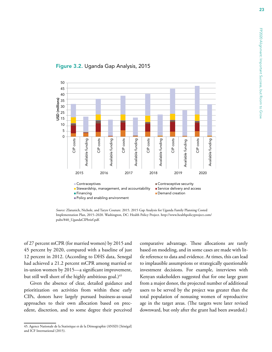

#### Figure 3.2. Uganda Gap Analysis, 2015

*Source:* Zlatunich, Nichole, and Taryn Couture. 2015. 2015 Gap Analysis for Uganda Family Planning Costed Implementation Plan, 2015–2020. Washington, DC: Health Policy Project. [http://www.healthpolicyproject.com/](http://www.healthpolicyproject.com/pubs/840_UgandaCIPbrief.pdf) [pubs/840\\_UgandaCIPbrief.pdf.](http://www.healthpolicyproject.com/pubs/840_UgandaCIPbrief.pdf)

of 27 percent mCPR (for married women) by 2015 and 45 percent by 2020, compared with a baseline of just 12 percent in 2012. (According to DHS data, Senegal had achieved a 21.2 percent mCPR among married or in-union women by 2015—a significant improvement, but still well short of the highly ambitious goal.)<sup>45</sup>

Given the absence of clear, detailed guidance and prioritization on activities from within these early CIPs, donors have largely pursued business-as-usual approaches to their own allocation based on precedent, discretion, and to some degree their perceived comparative advantage. These allocations are rarely based on modeling, and in some cases are made with little reference to data and evidence. At times, this can lead to implausible assumptions or strategically questionable investment decisions. For example, interviews with Kenyan stakeholders suggested that for one large grant from a major donor, the projected number of additional users to be served by the project was greater than the total population of nonusing women of reproductive age in the target areas. (The targets were later revised downward, but only after the grant had been awarded.)

<sup>45.</sup> Agence Nationale de la Statistique et de la Démographie (ANSD) [Sénégal] and ICF International (2015).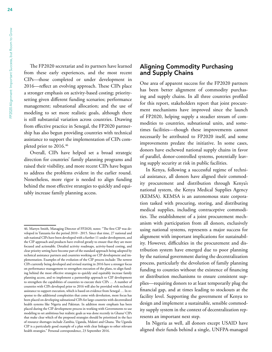<span id="page-37-0"></span>The FP2020 secretariat and its partners have learned from these early experiences, and the most recent CIPs—those completed or under development in 2016—reflect an evolving approach. These CIPs place a stronger emphasis on activity-based costing; prioritysetting given different funding scenarios; performance management; subnational allocation; and the use of modeling to set more realistic goals, although there is still substantial variation across countries. Drawing from effective practice in Senegal, the FP2020 partnership has also begun providing countries with technical assistance to support the implementation of CIPs completed prior to 2016.46

Overall, CIPs have helped set a broad strategic direction for countries' family planning programs and raised their visibility, and more recent CIPs have begun to address the problems evident in the earlier round. Nonetheless, more rigor is needed to align funding behind the most effective strategies to quickly and equitably increase family planning access.

#### Aligning Commodity Purchasing and Supply Chains

One area of apparent success for the FP2020 partners has been better alignment of commodity purchasing and supply chains. In all three countries profiled for this report, stakeholders report that joint procurement mechanisms have improved since the launch of FP2020, helping supply a steadier stream of commodities to countries, subnational units, and sometimes facilities—though these improvements cannot necessarily be attributed to FP2020 itself, and some improvements predate the initiative. In some cases, donors have eschewed national supply chains in favor of parallel, donor-controlled systems, potentially leaving supply security at risk in public facilities.

In Kenya, following a successful regime of technical assistance, all donors have aligned their commodity procurement and distribution through Kenya's national system, the Kenya Medical Supplies Agency (KEMSA). KEMSA is an autonomous state corporation tasked with procuring, storing, and distributing medical supplies, including contraceptive commodities. The establishment of a joint procurement mechanism with participation from all donors, exclusively using national systems, represents a major success for alignment with important implications for sustainability. However, difficulties in the procurement and distribution system have emerged due to poor planning by the national government during the decentralization process, particularly the devolution of family planning funding to counties without the existence of financing or distribution mechanisms to ensure consistent supplies—requiring donors to at least temporarily plug the financial gap, and at times leading to stockouts at the facility level. Supporting the government of Kenya to design and implement a sustainable, sensible commodity supply system in the context of decentralization represents an important next step.

In Nigeria as well, all donors except USAID have aligned their funds behind a single, UNFPA-managed

<sup>46.</sup> Martyn Smith, Managing Director of FP2020, notes: "The first CIP was developed in Tanzania for the period 2010 - 2015. Since that time, 27 national and sub-national CIPs have been developed with a further 11 under development, and the CIP approach and products have evolved greatly to ensure that they are more focused and actionable. Detailed activity roadmaps, activity-based costing, and clear priority setting have become part of the standard approach being adopted by technical assistance partners and countries working on CIP development and implementation. Examples of the evolution of the CIP process include: The newest CIPs currently being developed and revised starting in 2016 have a stronger focus on performance management to strengthen execution of the plans, to align funding behind the most effective strategies to quickly and equitably increase family planning access, and to implement a partnership approach to CIP development to strengthen the capabilities of countries to execute their CIPs … A number of countries with CIPs developed prior to 2016 will also be provided with technical assistance to support execution, which is based on evidence from Senegal … In response to the additional complexities that come with devolution, more focus has been placed on developing subnational CIPs for large countries with decentralized health systems like Nigeria and Pakistan. In addition more emphasis has been placed during the CIP development process in working with Governments to use modeling to set ambitious but realistic goals as was done recently in Ghana/ CIPs that make clear which of the proposed strategies should be prioritized in the face of resource shortages include Zambia, Uganda, Malawi and Ghana. The Uganda CIP is a particularly good example of a plan with clear linkages to other relevant health strategies." Personal correspondence, 23 September 2016.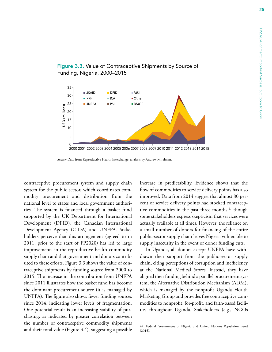

#### <span id="page-38-0"></span>Figure 3.3. Value of Contraceptive Shipments by Source of Funding, Nigeria, 2000–2015

*Source:* Data from Reproductive Health Interchange, analysis by Andrew Mirelman.

contraceptive procurement system and supply chain system for the public sector, which coordinates commodity procurement and distribution from the national level to states and local government authorities. The system is financed through a basket fund supported by the UK Department for International Development (DFID), the Canadian International Development Agency (CIDA) and UNFPA. Stakeholders perceive that this arrangement (agreed to in 2011, prior to the start of FP2020) has led to large improvements in the reproductive health commodity supply chain and that government and donors contributed to these efforts. Figure 3.3 shows the value of contraceptive shipments by funding source from 2000 to 2015. The increase in the contribution from UNFPA since 2011 illustrates how the basket fund has become the dominant procurement source (it is managed by UNFPA). The figure also shows fewer funding sources since 2014, indicating lower levels of fragmentation. One potential result is an increasing stability of purchasing, as indicated by greater correlation between the number of contraceptive commodity shipments and their total value (Figure 3.4), suggesting a possible increase in predictability. Evidence shows that the flow of commodities to service delivery points has also improved. Data from 2014 suggest that almost 80 percent of service delivery points had stocked contraceptive commodities in the past three months, $47$  though some stakeholders express skepticism that services were actually available at all times. However, the reliance on a small number of donors for financing of the entire public-sector supply chain leaves Nigeria vulnerable to supply insecurity in the event of donor funding cuts.

In Uganda, all donors except UNFPA have withdrawn their support from the public-sector supply chain, citing perceptions of corruption and inefficiency at the National Medical Stores. Instead, they have aligned their funding behind a parallel procurement system, the Alternative Distribution Mechanism (ADM), which is managed by the nonprofit Uganda Health Marketing Group and provides free contraceptive commodities to nonprofit, for-profit, and faith-based facilities throughout Uganda. Stakeholders (e.g., NGOs

<sup>47.</sup> Federal Government of Nigeria and United Nations Population Fund (2015).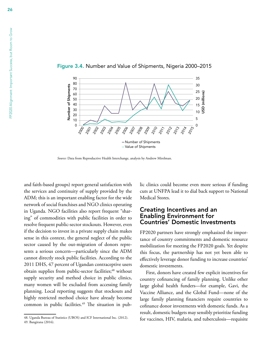

<span id="page-39-0"></span>Figure 3.4. Number and Value of Shipments, Nigeria 2000–2015

*Source:* Data from Reproductive Health Interchange, analysis by Andrew Mirelman.

and faith-based groups) report general satisfaction with the services and continuity of supply provided by the ADM; this is an important enabling factor for the wide network of social franchises and NGO clinics operating in Uganda. NGO facilities also report frequent "sharing" of commodities with public facilities in order to resolve frequent public-sector stockouts. However, even if the decision to invest in a private supply chain makes sense in this context, the general neglect of the public sector caused by the out-migration of donors represents a serious concern—particularly since the ADM cannot directly stock public facilities. According to the 2011 DHS, 47 percent of Ugandan contraceptive users obtain supplies from public-sector facilities;<sup>48</sup> without supply security and method choice in public clinics, many women will be excluded from accessing family planning. Local reporting suggests that stockouts and highly restricted method choice have already become common in public facilities.<sup>49</sup> The situation in public clinics could become even more serious if funding cuts at UNFPA lead it to dial back support to National Medical Stores.

#### Creating Incentives and an Enabling Environment for Countries' Domestic Investments

FP2020 partners have strongly emphasized the importance of country commitments and domestic resource mobilization for meeting the FP2020 goals. Yet despite this focus, the partnership has not yet been able to effectively leverage donor funding to increase countries' domestic investments.

First, donors have created few explicit incentives for country cofinancing of family planning. Unlike other large global health funders—for example, Gavi, the Vaccine Alliance, and the Global Fund—none of the large family planning financiers require countries to cofinance donor investments with domestic funds. As a result, domestic budgets may sensibly prioritize funding for vaccines, HIV, malaria, and tuberculosis—requisite

<sup>48.</sup> Uganda Bureau of Statistics (UBOS) and ICF International Inc. (2012). 49. Bangirana (2016).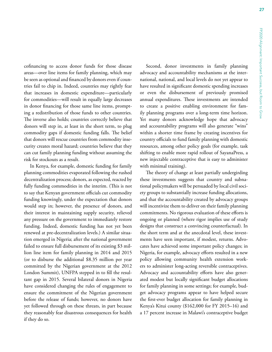cofinancing to access donor funds for those disease areas—over line items for family planning, which may be seen as optional and financed by donors even if countries fail to chip in. Indeed, countries may rightly fear that increases in domestic expenditure—particularly for commodities—will result in equally large decreases in donor financing for those same line items, prompting a redistribution of those funds to other countries. The inverse also holds; countries correctly believe that donors will step in, at least in the short term, to plug commodity gaps if domestic funding falls. The belief that donors will rescue countries from commodity insecurity creates moral hazard; countries believe that they can cut family planning funding without assuming the risk for stockouts as a result.

In Kenya, for example, domestic funding for family planning commodities evaporated following the rushed decentralization process; donors, as expected, reacted by fully funding commodities in the interim. (This is not to say that Kenyan government officials cut commodity funding knowingly, under the expectation that donors would step in; however, the presence of donors, and their interest in maintaining supply security, relieved any pressure on the government to immediately restore funding. Indeed, domestic funding has not yet been renewed at pre-decentralization levels.) A similar situation emerged in Nigeria; after the national government failed to ensure full disbursement of its existing \$3 million line item for family planning in 2014 and 2015 (or to disburse the additional \$8.35 million per year committed by the Nigerian government at the 2012 London Summit), UNFPA stepped in to fill the resultant gap in 2015. Several bilateral donors in Nigeria have considered changing the rules of engagement to ensure the commitment of the Nigerian government before the release of funds; however, no donors have yet followed through on these threats, in part because they reasonably fear disastrous consequences for health if they do so.

Second, donor investments in family planning advocacy and accountability mechanisms at the international, national, and local levels do not yet appear to have resulted in significant domestic spending increases or even the disbursement of previously promised annual expenditures. These investments are intended to create a positive enabling environment for family planning programs over a long-term time horizon. Yet many donors acknowledge hope that advocacy and accountability programs will also generate "wins" within a shorter time frame by creating incentives for country officials to fund family planning with domestic resources, among other policy goals (for example, task shifting to enable more rapid rollout of SayanaPress, a new injectable contraceptive that is easy to administer with minimal training).

The theory of change at least partially undergirding these investments suggests that country and subnational policymakers will be persuaded by local civil society groups to substantially increase funding allocations, and that the accountability created by advocacy groups will incentivize them to deliver on their family planning commitments. No rigorous evaluation of these efforts is ongoing or planned (where rigor implies use of study designs that construct a convincing counterfactual). In the short term and at the anecdotal level, these investments have seen important, if modest, returns. Advocates have achieved some important policy changes; in Nigeria, for example, advocacy efforts resulted in a new policy allowing community health extension workers to administer long-acting reversible contraceptives. Advocacy and accountability efforts have also generated modest but locally significant budget allocations for family planning in some settings; for example, budget advocacy programs appear to have helped secure the first-ever budget allocation for family planning in Kenya's Kitui county (\$162,000 for FY 2015–16) and a 17 percent increase in Malawi's contraceptive budget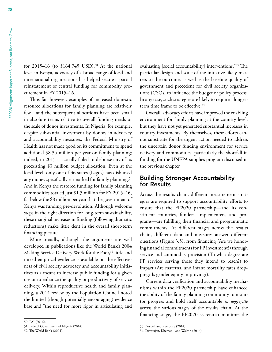<span id="page-41-0"></span>for 2015–16 (to  $$164,745$  USD).<sup>50</sup> At the national level in Kenya, advocacy of a broad range of local and international organizations has helped secure a partial reinstatement of central funding for commodity procurement in FY 2015–16.

Thus far, however, examples of increased domestic resource allocations for family planning are relatively few—and the subsequent allocations have been small in absolute terms relative to overall funding needs or the scale of donor investments. In Nigeria, for example, despite substantial investment by donors in advocacy and accountability measures, the Federal Ministry of Health has not made good on its commitment to spend additional \$8.35 million per year on family planning; indeed, in 2015 it actually failed to disburse any of its preexisting \$3 million budget allocation. Even at the local level, only one of 36 states (Lagos) has disbursed any money specifically earmarked for family planning.<sup>51</sup> And in Kenya the restored funding for family planning commodities totaled just \$1.3 million for FY 2015–16, far below the \$8 million per year that the government of Kenya was funding pre-devolution. Although welcome steps in the right direction for long-term sustainability, these marginal increases in funding (following dramatic reductions) make little dent in the overall short-term financing picture.

More broadly, although the arguments are well developed in publications like the World Bank's 2004 Making Service Delivery Work for the Poor,<sup>52</sup> little and mixed empirical evidence is available on the effectiveness of civil society advocacy and accountability initiatives as a means to increase public funding for a given use or to enhance the quality or productivity of service delivery. Within reproductive health and family planning, a 2014 review by the Population Council noted the limited (though potentially encouraging) evidence base and "the need for more rigor in articulating and evaluating [social accountability] interventions."53 The particular design and scale of the initiative likely matters to the outcome, as well as the baseline quality of government and precedent for civil society organizations (CSOs) to influence the budget or policy process. In any case, such strategies are likely to require a longerterm time frame to be effective.<sup>54</sup>

Overall, advocacy efforts have improved the enabling environment for family planning at the country level, but they have not yet generated substantial increases in country investments. By themselves, these efforts cannot substitute for the urgent action needed to address the uncertain donor funding environment for service delivery and commodities, particularly the shortfall in funding for the UNFPA supplies program discussed in the previous chapter.

#### Building Stronger Accountability for Results

Across the results chain, different measurement strategies are required to support accountability efforts to ensure that the FP2020 partnership—and its constituent countries, funders, implementers, and programs—are fulfilling their financial and programmatic commitments. At different stages across the results chain, different data and measures answer different questions (Figure 3.5), from financing (Are we honoring financial commitments for FP investment?) through service and commodity provision (To what degree are FP services serving those they intend to reach?) to impact (Are maternal and infant mortality rates dropping? Is gender equity improving?).

Current data verification and accountability mechanisms within the FP2020 partnership have enhanced the ability of the family planning community to monitor progress and hold itself accountable *in aggregate* across the various stages of the results chain. At the financing stage, the FP2020 secretariat monitors the

<sup>50.</sup> PAI (2016).

<sup>51.</sup> Federal Government of Nigeria (2014).

<sup>52.</sup> The World Bank (2004).

<sup>53.</sup> Boydell and Keesbury (2014).

<sup>54.</sup> Devarajan, Khemani, and Walton (2014).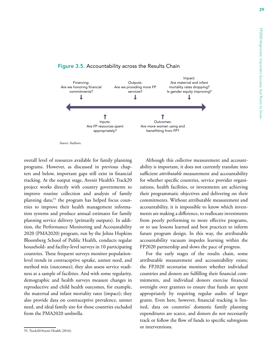

#### <span id="page-42-0"></span>Figure 3.5. Accountability across the Results Chain

*Source:* Authors.

overall level of resources available for family planning programs. However, as discussed in previous chapters and below, important gaps still exist in financial tracking. At the output stage, Avenir Health's Track20 project works directly with country governments to improve routine collection and analysis of family planning data;<sup>55</sup> the program has helped focus countries to improve their health management information systems and produce annual estimates for family planning service delivery (primarily outputs). In addition, the Performance Monitoring and Accountability 2020 (PMA2020) program, run by the Johns Hopkins Bloomberg School of Public Health, conducts regular household- and facility-level surveys in 10 participating countries. These frequent surveys monitor populationlevel trends in contraceptive uptake, unmet need, and method mix (outcomes); they also assess service readiness at a sample of facilities. And with some regularity, demographic and health surveys measure changes in reproductive and child health outcomes, for example, the maternal and infant mortality rates (impact); they also provide data on contraceptive prevalence, unmet need, and ideal family size for those countries excluded from the PMA2020 umbrella.

Although this *collective* measurement and accountability is important, it does not currently translate into sufficient *attributable* measurement and accountability for whether specific countries, service provider organizations, health facilities, or investments are achieving their programmatic objectives and delivering on their commitments. Without attributable measurement and accountability, it is impossible to know which investments are making a difference, to reallocate investments from poorly performing to more effective programs, or to use lessons learned and best practices to inform future program design. In this way, the attributable accountability vacuum impedes learning within the FP2020 partnership and slows the pace of progress.

For the early stages of the results chain, some attributable measurement and accountability exists; the FP2020 secretariat monitors whether individual countries and donors are fulfilling their financial commitments, and individual donors exercise financial oversight over grantees to ensure that funds are spent appropriately by requiring regular audits of larger grants. Even here, however, financial tracking is limited, data on countries' domestic family planning expenditures are scarce, and donors do not necessarily track or follow the flow of funds to specific subregions or interventions.

<sup>55.</sup> Track20/Avenir Health (2016).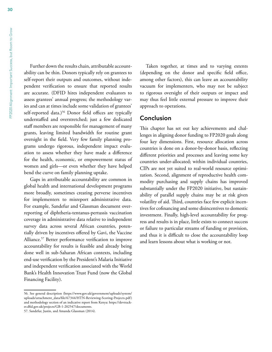<span id="page-43-0"></span>Further down the results chain, attributable accountability can be thin. Donors typically rely on grantees to self-report their outputs and outcomes, without independent verification to ensure that reported results are accurate. (DFID hires independent evaluators to assess grantees' annual progress; the methodology varies and can at times include some validation of grantees' self-reported data.)<sup>56</sup> Donor field offices are typically understaffed and overstretched; just a few dedicated staff members are responsible for management of many grants, leaving limited bandwidth for routine grant oversight in the field. Very few family planning programs undergo rigorous, independent impact evaluation to assess whether they have made a difference for the health, economic, or empowerment status of women and girls—or even whether they have helped bend the curve on family planning uptake.

Gaps in attributable accountability are common in global health and international development programs more broadly, sometimes creating perverse incentives for implementers to misreport administrative data. For example, Sandefur and Glassman document overreporting of diphtheria-tentanus-pertussis vaccination coverage in administrative data relative to independent survey data across several African countries, potentially driven by incentives offered by Gavi, the Vaccine Alliance.<sup>57</sup> Better performance verification to improve accountability for results is feasible and already being done well in sub-Saharan African contexts, including end-use verification by the President's Malaria Initiative and independent verification associated with the World Bank's Health Innovation Trust Fund (now the Global Financing Facility).

Taken together, at times and to varying extents (depending on the donor and specific field office, among other factors), this can leave an accountability vacuum for implementers, who may not be subject to rigorous oversight of their outputs or impact and may thus feel little external pressure to improve their approach to operations.

#### Conclusion

This chapter has set out key achievements and challenges in aligning donor funding to FP2020 goals along four key dimensions. First, resource allocation across countries is done on a donor-by-donor basis, reflecting different priorities and processes and leaving some key countries under-allocated; within individual countries, CIPs are not yet suited to real-world resource optimization. Second, alignment of reproductive health commodity purchasing and supply chains has improved substantially under the FP2020 initiative, but sustainability of parallel supply chains may be at risk given volatility of aid. Third, countries face few explicit incentives for cofinancing and some disincentives to domestic investment. Finally, high-level accountability for progress and results is in place, little exists to connect success or failure to particular streams of funding or provision, and thus it is difficult to close the accountability loop and learn lessons about what is working or not.

<sup>56.</sup> See general description ([https://www.gov.uk/government/uploads/system/](https://www.gov.uk/government/uploads/system/uploads/attachment_data/file/67344/HTN-Reviewing-Scoring-Projects.pdf) [uploads/attachment\\_data/file/67344/HTN-Reviewing-Scoring-Projects.pdf](https://www.gov.uk/government/uploads/system/uploads/attachment_data/file/67344/HTN-Reviewing-Scoring-Projects.pdf)) and methodology section of an indicative report from Kenya: [https://devtrack](https://devtracker.dfid.gov.uk/projects/GB-1-202547/documents)[er.dfid.gov.uk/projects/GB-1-202547/documents.](https://devtracker.dfid.gov.uk/projects/GB-1-202547/documents)

<sup>57.</sup> Sandefur, Justin, and Amanda Glassman (2014).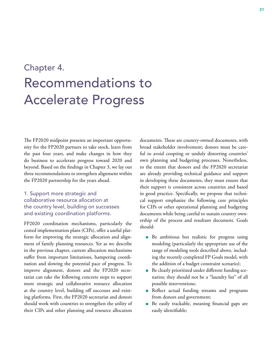# <span id="page-44-0"></span>Chapter 4. Recommendations to Accelerate Progress

The FP2020 midpoint presents an important opportunity for the FP2020 partners to take stock, learn from the past four years, and make changes in how they do business to accelerate progress toward 2020 and beyond. Based on the findings in Chapter 3, we lay out three recommendations to strengthen alignment within the FP2020 partnership for the years ahead.

#### 1. Support more strategic and collaborative resource allocation at the country level, building on successes and existing coordination platforms.

FP2020 coordination mechanisms, particularly the costed implementation plans (CIPs), offer a useful platform for improving the strategic allocation and alignment of family planning resources. Yet as we describe in the previous chapter, current allocation mechanisms suffer from important limitations, hampering coordination and slowing the potential pace of progress. To improve alignment, donors and the FP2020 secretariat can take the following concrete steps to support more strategic and collaborative resource allocation at the country level, building off successes and existing platforms. First, the FP2020 secretariat and donors should work with countries to strengthen the utility of their CIPs and other planning and resource allocation

documents. These are country-owned documents, with broad stakeholder involvement; donors must be careful to avoid coopting or unduly distorting countries' own planning and budgeting processes. Nonetheless, to the extent that donors and the FP2020 secretariat are already providing technical guidance and support in developing these documents, they must ensure that their support is consistent across countries and based in good practice. Specifically, we propose that technical support emphasize the following core principles for CIPs or other operational planning and budgeting documents while being careful to sustain country ownership of the process and resultant document. Goals should:

- **n** Be ambitious but realistic for progress using modeling (particularly the appropriate use of the range of modeling tools described above, including the recently completed FP Goals model, with the addition of a budget constraint scenario);
- <sup>n</sup> Be clearly prioritized under different funding scenarios; they should not be a "laundry list" of all possible interventions;
- **n** Reflect actual funding streams and programs from donors and government;
- **Be easily trackable, meaning financial gaps are** easily identifiable;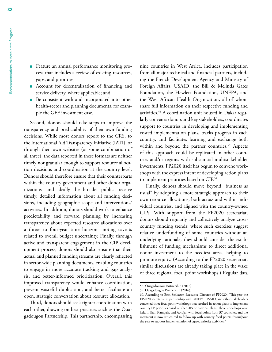- Feature an annual performance monitoring process that includes a review of existing resources, gaps, and priorities;
- <sup>n</sup> Account for decentralization of financing and service delivery, where applicable; and
- **n** Be consistent with and incorporated into other health-sector and planning documents, for example the GFF investment case.

Second, donors should take steps to improve the transparency and predictability of their own funding decisions. While most donors report to the CRS, to the International Aid Transparency Initiative (IATI), or through their own websites (or some combination of all three), the data reported in these formats are neither timely nor granular enough to support resource allocation decisions and coordination at the country level. Donors should therefore ensure that their counterparts within the country government and other donor organizations—and ideally the broader public—receive timely, detailed information about all funding decisions, including geographic scope and interventions/ activities. In addition, donors should work to enhance predictability and forward planning by increasing transparency about expected resource allocations over a three- to four-year time horizon—noting caveats related to overall budget uncertainty. Finally, through active and transparent engagement in the CIP development process, donors should also ensure that their actual and planned funding streams are clearly reflected in sector-wide planning documents, enabling countries to engage in more accurate tracking and gap analysis, and better-informed prioritization. Overall, this improved transparency would enhance coordination, prevent wasteful duplication, and better facilitate an open, strategic conversation about resource allocation.

Third, donors should seek tighter coordination with each other, drawing on best practices such as the Ouagadougou Partnership. This partnership, encompassing nine countries in West Africa, includes participation from all major technical and financial partners, including the French Development Agency and Ministry of Foreign Affairs, USAID, the Bill & Melinda Gates Foundation, the Hewlett Foundation, UNFPA, and the West African Health Organization, all of whom share full information on their respective funding and activities.58 A coordination unit housed in Dakar regularly convenes donors and key stakeholders, coordinates support to countries in developing and implementing costed implementation plans, tracks progress in each country, and facilitates learning and exchange both within and beyond the partner countries.<sup>59</sup> Aspects of this approach could be replicated in other countries and/or regions with substantial multistakeholder investments. FP2020 itself has begun to convene workshops with the express intent of developing action plans to implement priorities based on CIP.<sup>60</sup>

Finally, donors should move beyond "business as usual" by adopting a more strategic approach to their own resource allocations, both across and within individual countries, and aligned with the country-owned CIPs. With support from the FP2020 secretariat, donors should regularly and collectively analyze crosscountry funding trends; where such exercises suggest relative underfunding of some countries without an underlying rationale, they should consider the establishment of funding mechanisms to direct additional donor investment to the neediest areas, helping to promote equity. (According to the FP2020 secretariat, similar discussions are already taking place in the wake of three regional focal point workshops.) Regular data

<sup>58.</sup> Ouagadougou Partnership (2016).

<sup>59.</sup> Ouagadougou Partnership (2016).

<sup>60.</sup> According to Beth Schlacter, Executive Director of FP2020: "This year the FP2020 secretariat in partnership with UNFPA, USAID, and other stakeholders convened three focal point workshops that resulted in action plans to implement country FP priorities based on the CIPs or national plans. These workshops were held in Bali, Kampala, and Abidjan with focal points from 37 countries, and the secretariat is now structured to follow up with country focal points throughout the year to support implementation of agreed priority activities."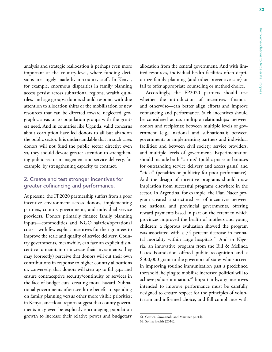analysis and strategic reallocation is perhaps even more important at the country-level, where funding decisions are largely made by in-country staff. In Kenya, for example, enormous disparities in family planning access persist across subnational regions, wealth quintiles, and age groups; donors should respond with due attention to allocation shifts or the mobilization of new resources that can be directed toward neglected geographic areas or to population groups with the greatest need. And in countries like Uganda, valid concerns about corruption have led donors to all but abandon the public sector. It is understandable that in such cases donors will not fund the public sector directly; even so, they should devote greater attention to strengthening public-sector management and service delivery, for example, by strengthening capacity to contract.

#### 2. Create and test stronger incentives for greater cofinancing and performance.

At present, the FP2020 partnership suffers from a poor incentive environment across donors, implementing partners, country governments, and individual service providers. Donors primarily finance family planning inputs—commodities and NGO salaries/operational costs—with few explicit incentives for their grantees to improve the scale and quality of service delivery. Country governments, meanwhile, can face an explicit disincentive to maintain or increase their investments; they may (correctly) perceive that donors will cut their own contributions in response to higher country allocations or, conversely, that donors will step up to fill gaps and ensure contraceptive security/continuity of services in the face of budget cuts, creating moral hazard. Subnational governments often see little benefit to spending on family planning versus other more visible priorities; in Kenya, anecdotal reports suggest that county governments may even be explicitly encouraging population growth to increase their relative power and budgetary allocation from the central government. And with limited resources, individual health facilities often deprioritize family planning (and other preventive care) or fail to offer appropriate counseling or method choice.

Accordingly, the FP2020 partners should test whether the introduction of incentives—financial and otherwise—can better align efforts and improve cofinancing and performance. Such incentives should be considered across multiple relationships: between donors and recipients; between multiple levels of government (e.g., national and subnational); between governments or implementing partners and individual facilities; and between civil society, service providers, and multiple levels of government. Experimentation should include both "carrots" (public praise or bonuses for outstanding service delivery and access gains) and "sticks" (penalties or publicity for poor performance). And the design of incentive programs should draw inspiration from successful programs elsewhere in the sector. In Argentina, for example, the Plan Nacer program created a structured set of incentives between the national and provincial governments, offering reward payments based in part on the extent to which provinces improved the health of mothers and young children; a rigorous evaluation showed the program was associated with a 74 percent decrease in neonatal mortality within large hospitals.<sup>61</sup> And in Nigeria, an innovative program from the Bill & Melinda Gates Foundation offered public recognition and a \$500,000 grant to the governors of states who succeed in improving routine immunization past a predefined threshold, helping to mobilize increased political will to achieve polio elimination.<sup>62</sup> Importantly, any incentives intended to improve performance must be carefully designed to ensure respect for the principles of voluntarism and informed choice, and full compliance with

<sup>61.</sup> Gertler, Giovagnoli, and Martinez (2014).

<sup>62.</sup> Solina Health (2016).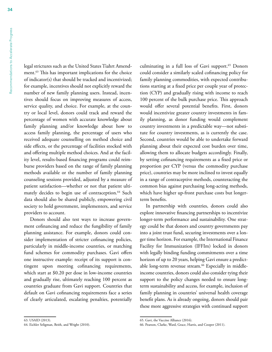legal strictures such as the United States Tiahrt Amendment.63 This has important implications for the choice of indicator(s) that should be tracked and incentivized; for example, incentives should not explicitly reward the number of new family planning users. Instead, incentives should focus on improving measures of access, service quality, and choice. For example, at the country or local level, donors could track and reward the percentage of women with accurate knowledge about family planning and/or knowledge about how to access family planning, the percentage of users who received adequate counselling on method choice and side effects, or the percentage of facilities stocked with and offering multiple method choices. And at the facility level, results-based financing programs could reimburse providers based on the range of family planning methods available or the number of family planning counseling sessions provided, adjusted by a measure of patient satisfaction—whether or not that patient ultimately decides to begin use of contraception.<sup>64</sup> Such data should also be shared publicly, empowering civil society to hold government, implementers, and service providers to account.

Donors should also test ways to increase government cofinancing and reduce the fungibility of family planning assistance. For example, donors could consider implementation of stricter cofinancing policies, particularly in middle-income countries, or matching fund schemes for commodity purchases. Gavi offers one instructive example: receipt of its support is contingent upon meeting cofinancing requirements, which start at \$0.20 per dose in low-income countries and gradually rise, ultimately reaching 100 percent as countries graduate from Gavi support. Countries that default on Gavi cofinancing requirements face a series of clearly articulated, escalating penalties, potentially culminating in a full loss of Gavi support.<sup>65</sup> Donors could consider a similarly scaled cofinancing policy for family planning commodities, with expected contributions starting at a fixed price per couple year of protection (CYP) and gradually rising with income to reach 100 percent of the bulk purchase price. This approach would offer several potential benefits. First, donors would incentivize greater country investments in family planning, as donor funding would complement country investments in a predictable way—not substitute for country investments, as is currently the case. Second, countries would be able to undertake forward planning about their expected cost burden over time, allowing them to allocate budgets accordingly. Finally, by setting cofinancing requirements as a fixed price or proportion per CYP (versus the commodity purchase price), countries may be more inclined to invest equally in a range of contraceptive methods, counteracting the common bias against purchasing long-acting methods, which have higher up-front purchase costs but longerterm benefits.

In partnership with countries, donors could also explore innovative financing partnerships to incentivize longer-term performance and sustainability. One strategy could be that donors and country governments pay into a joint trust fund, securing investments over a longer time horizon. For example, the International Finance Facility for Immunization (IFFIm) locked in donors with legally binding funding commitments over a time horizon of up to 20 years, helping Gavi ensure a predictable long-term revenue stream.<sup>66</sup> Especially in middleincome countries, donors could also consider tying their support to the policy changes needed to ensure longterm sustainability and access, for example, inclusion of family planning in countries' universal health coverage benefit plans. As is already ongoing, donors should pair these more aggressive strategies with continued support

<sup>63.</sup> USAID (2013).

<sup>64.</sup> Eichler Seligman, Beith, and Wright (2010).

<sup>65.</sup> Gavi, the Vaccine Alliance (2016).

<sup>66.</sup> Pearson, Clarke, Ward, Grace, Harris, and Cooper (2011).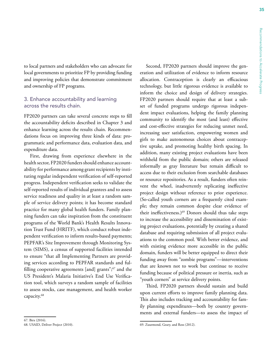to local partners and stakeholders who can advocate for local governments to prioritize FP by providing funding and improving policies that demonstrate commitment and ownership of FP programs.

#### 3. Enhance accountability and learning across the results chain.

FP2020 partners can take several concrete steps to fill the accountability deficits described in Chapter 3 and enhance learning across the results chain. Recommendations focus on improving three kinds of data: programmatic and performance data, evaluation data, and expenditure data.

First, drawing from experience elsewhere in the health sector, FP2020 funders should enhance accountability for performance among grant recipients by instituting regular independent verification of self-reported progress. Independent verification seeks to validate the self-reported results of individual grantees and to assess service readiness and quality in at least a random sample of service delivery points; it has become standard practice for many global health funders. Family planning funders can take inspiration from the constituent programs of the World Bank's Health Results Innovation Trust Fund (HRITF), which conduct robust independent verification to inform results-based payments; PEPFAR's Site Improvement through Monitoring System (SIMS), a census of supported facilities intended to ensure "that all Implementing Partners are providing services according to PEPFAR standards and fulfilling cooperative agreements [and] grants";<sup>67</sup> and the US President's Malaria Initiative's End Use Verification tool, which surveys a random sample of facilities to assess stocks, case management, and health worker capacity.68

Second, FP2020 partners should improve the generation and utilization of evidence to inform resource allocation. Contraception is clearly an efficacious technology, but little rigorous evidence is available to inform the choice and design of delivery strategies. FP2020 partners should require that at least a subset of funded programs undergo rigorous independent impact evaluations, helping the family planning community to identify the most (and least) effective and cost-effective strategies for reducing unmet need, increasing user satisfaction, empowering women and girls to make autonomous choices about contraceptive uptake, and promoting healthy birth spacing. In addition, many existing project evaluations have been withheld from the public domain; others are released informally as gray literature but remain difficult to access due to their exclusion from searchable databases or resource repositories. As a result, funders often reinvent the wheel, inadvertently replicating ineffective project design without reference to prior experience. (So-called youth corners are a frequently cited example; they remain common despite clear evidence of their ineffectiveness.)<sup>69</sup> Donors should thus take steps to increase the accessibility and dissemination of existing project evaluations, potentially by creating a shared database and requiring submission of all project evaluations to the common pool. With better evidence, and with existing evidence more accessible in the public domain, funders will be better equipped to direct their funding away from "zombie programs"—interventions that are known not to work but continue to receive funding because of political pressure or inertia, such as "youth corners" at service delivery points.

Third, FP2020 partners should sustain and build upon current efforts to improve family planning data. This also includes tracking and accountability for family planning expenditures—both by country governments and external funders—to assess the impact of

<sup>67.</sup> Birx (2016).

<sup>68.</sup> USAID, Deliver Project (2010).

<sup>69.</sup> Zuurmond, Geary, and Ross (2012).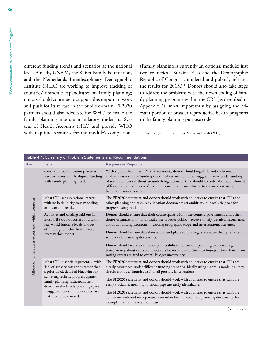Recommendations to Accelerate Progress

<span id="page-49-0"></span>Recommendations to Accelerate Progress

different funding trends and scenarios at the national level. Already, UNFPA, the Kaiser Family Foundation, and the Netherlands Interdisciplinary Demographic Institute (NIDI) are working to improve tracking of countries' domestic expenditures on family planning; donors should continue to support this important work and push for its release in the public domain. FP2020 partners should also advocate for WHO to make the family planning module mandatory under its System of Health Accounts (SHA) and provide WHO with requisite resources for the module's completion.

(Family planning is currently an optional module; just two countries—Burkina Faso and the Demographic Republic of Congo—completed and publicly released the results for 2013.)<sup>70</sup> Donors should also take steps to address the problems with their own coding of family planning programs within the CRS (as described in Appendix 2), most importantly by assigning the relevant portion of broader reproductive health programs to the family planning purpose code.

70. Weinberger, Emmart, Srihari, Miller, and Studt (2015).

| Table 4.1. Summary of Problem Statements and Recommendations |                                                                                                                                                                                                                                                                                                                   |                                                                                                                                                                                                                                                                                                                                                                                                                                                                                                                                                                                                                                                     |  |  |  |
|--------------------------------------------------------------|-------------------------------------------------------------------------------------------------------------------------------------------------------------------------------------------------------------------------------------------------------------------------------------------------------------------|-----------------------------------------------------------------------------------------------------------------------------------------------------------------------------------------------------------------------------------------------------------------------------------------------------------------------------------------------------------------------------------------------------------------------------------------------------------------------------------------------------------------------------------------------------------------------------------------------------------------------------------------------------|--|--|--|
| Area                                                         | <b>Issue</b>                                                                                                                                                                                                                                                                                                      | <b>Response &amp; Responder</b>                                                                                                                                                                                                                                                                                                                                                                                                                                                                                                                                                                                                                     |  |  |  |
| Allocation of resources across and within countries          | Cross-country allocation practices<br>have not consistently aligned funding<br>with family planning need.                                                                                                                                                                                                         | With support from the FP2020 secretariat, donors should regularly and collectively<br>analyze cross-country funding trends; where such exercises suggest relative underfunding<br>of some countries without an underlying rationale, they should consider the establishment<br>of funding mechanisms to direct additional donor investment to the neediest areas,<br>helping promote equity.                                                                                                                                                                                                                                                        |  |  |  |
|                                                              | Most CIPs set aspirational targets<br>with no basis in rigorous modeling<br>or historical trends.                                                                                                                                                                                                                 | The FP2020 secretariat and donors should work with countries to ensure that CIPs and<br>other planning and resource allocation documents set ambitious but realistic goals for<br>progress using modeling.                                                                                                                                                                                                                                                                                                                                                                                                                                          |  |  |  |
|                                                              | Activities and costings laid out in<br>most CIPs do not correspond with<br>real-world funding levels, modes<br>of funding, or other health-sector<br>strategy documents.                                                                                                                                          | Donors should ensure that their counterparts within the country government and other<br>donor organizations-and ideally the broader public-receive timely, detailed information<br>about all funding decisions, including geographic scope and interventions/activities.<br>Donors should ensure that their actual and planned funding streams are clearly reflected in<br>sector-wide planning documents.<br>Donors should work to enhance predictability and forward planning by increasing<br>transparency about expected resource allocations over a three- to four-year time horizon-<br>noting caveats related to overall budget uncertainty. |  |  |  |
|                                                              | Most CIPs essentially present a "wish<br>list" of activity categories rather than<br>a prioritized, detailed blueprint for<br>achieving realistic progress against<br>family planning indicators; new<br>donors to the family planning space<br>struggle to identify the next activity<br>that should be covered. | The FP2020 secretariat and donors should work with countries to ensure that CIPs are<br>clearly prioritized under different funding scenarios, ideally using rigorous modeling; they<br>should not be a "laundry list" of all possible interventions.<br>The FP2020 secretariat and donors should work with countries to ensure that CIPs are<br>easily trackable, meaning financial gaps are easily identifiable.<br>The FP2020 secretariat and donors should work with countries to ensure that CIPs are<br>consistent with and incorporated into other health sector and planning documents, for<br>example, the GFF investment case.            |  |  |  |

(continued)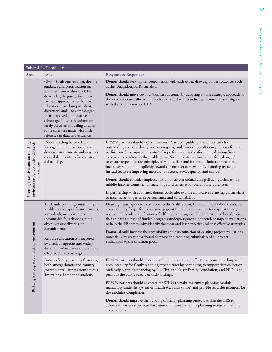|                                                                                           | Table 4.1. Continued                                                                                                                                                                                                                                                                                                                                                                                                                 |                                                                                                                                                                                                                                                                                                                                                                                                                                                                                                                                                                                                                                                                                                                                                                                                                                                                                                                                                                 |
|-------------------------------------------------------------------------------------------|--------------------------------------------------------------------------------------------------------------------------------------------------------------------------------------------------------------------------------------------------------------------------------------------------------------------------------------------------------------------------------------------------------------------------------------|-----------------------------------------------------------------------------------------------------------------------------------------------------------------------------------------------------------------------------------------------------------------------------------------------------------------------------------------------------------------------------------------------------------------------------------------------------------------------------------------------------------------------------------------------------------------------------------------------------------------------------------------------------------------------------------------------------------------------------------------------------------------------------------------------------------------------------------------------------------------------------------------------------------------------------------------------------------------|
| Area                                                                                      | <b>Issue</b>                                                                                                                                                                                                                                                                                                                                                                                                                         | <b>Response &amp; Responder</b>                                                                                                                                                                                                                                                                                                                                                                                                                                                                                                                                                                                                                                                                                                                                                                                                                                                                                                                                 |
|                                                                                           | Given the absence of clear, detailed<br>guidance and prioritization on<br>activities from within the CIP,<br>donors largely pursue business-<br>as-usual approaches to their own<br>allocations based on precedent,<br>discretion, and-to some degree-<br>their perceived comparative<br>advantage. These allocations are<br>rarely based on modeling and, in<br>some cases, are made with little<br>reference to data and evidence. | Donors should seek tighter coordination with each other, drawing on best practices such<br>as the Ouagadougou Partnership.<br>Donors should move beyond "business as usual" by adopting a more strategic approach to<br>their own resource allocations, both across and within individual countries, and aligned<br>with the country-owned CIPs.                                                                                                                                                                                                                                                                                                                                                                                                                                                                                                                                                                                                                |
| Creating incentives and an enabling<br>environment for countries' domestic<br>investments | Donor funding has not been<br>leveraged to increase countries'<br>domestic investments and may have<br>created disincentives for country<br>cofinancing.                                                                                                                                                                                                                                                                             | FP2020 partners should experiment with "carrots" (public praise or bonuses for<br>outstanding service delivery and access gains) and "sticks" (penalties or publicity for poor<br>performance) to improve incentives for performance and cofinancing, drawing from<br>experience elsewhere in the health sector. Such incentives must be carefully designed<br>to ensure respect for the principles of voluntarism and informed choice; for example,<br>incentives should not explicitly reward the number of new family planning users but<br>instead focus on improving measures of access, service quality, and choice.<br>Donors should consider implementation of stricter cofinancing policies, particularly in<br>middle-income countries, or matching fund schemes for commodity purchases.<br>In partnership with countries, donors could also explore innovative financing partnerships<br>to incentivize longer-term performance and sustainability. |
|                                                                                           | The family planning community is<br>unable to hold specific investments,<br>individuals, or institutions<br>accountable for achieving their<br>objectives or delivering on<br>commitments.<br>Resource allocation is hampered<br>by a lack of rigorous and widely<br>disseminated evidence on the most<br>effective delivery strategies.                                                                                             | Drawing from experience elsewhere in the health sector, FP2020 funders should enhance<br>accountability for performance among grant recipients and contractors by instituting<br>regular independent verification of self-reported progress. FP2020 partners should require<br>that at least a subset of funded programs undergo rigorous independent impact evaluations<br>to help the FP community identify the most and least effective and cost-effective strategies.<br>Donors should increase the accessibility and dissemination of existing project evaluations,<br>potentially by creating a shared database and requiring submission of all project<br>evaluations to the common pool.                                                                                                                                                                                                                                                                |
| Building a strong accountabiltiy environment                                              | Data on family planning financing-<br>both among donors and country<br>governments-suffers from serious<br>limitations, hampering analysis.                                                                                                                                                                                                                                                                                          | FP2020 partners should sustain and build upon current efforts to improve tracking and<br>accountability for family planning expenditures by continuing to support data collection<br>on family planning financing by UNFPA, the Kaiser Family Foundation, and NIDI, and<br>push for the public release of their findings.<br>FP2020 partners should advocate for WHO to make the family planning module<br>mandatory under its System of Health Accounts (SHA) and provide requisite resources for<br>the module's completion.<br>Donors should improve their coding of family planning projects within the CRS to<br>achieve consistency between data sources and ensure family planning resources are fully<br>accounted for.                                                                                                                                                                                                                                 |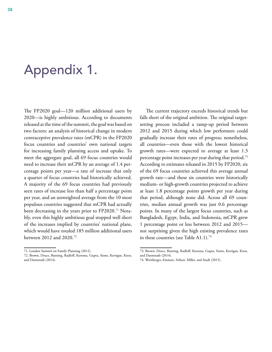# <span id="page-51-0"></span>Appendix 1.

The FP2020 goal—120 million additional users by 2020—is highly ambitious. According to documents released at the time of the summit, the goal was based on two factors: an analysis of historical change in modern contraceptive prevalence rates (mCPR) in the FP2020 focus countries and countries' own national targets for increasing family planning access and uptake. To meet the aggregate goal, all 69 focus countries would need to increase their mCPR by an average of 1.4 percentage points per year—a rate of increase that only a quarter of focus countries had historically achieved. A majority of the 69 focus countries had previously seen rates of increase less than half a percentage point per year, and an unweighted average from the 10 most populous countries suggested that mCPR had actually been decreasing in the years prior to FP2020.<sup>71</sup> Notably, even this highly ambitious goal stopped well short of the increases implied by countries' national plans, which would have totaled 185 million additional users between 2012 and 2020.72

The current trajectory exceeds historical trends but falls short of the original ambition. The original targetsetting process included a ramp-up period between 2012 and 2015 during which low performers could gradually increase their rates of progress; nonetheless, all countries—even those with the lowest historical growth rates—were expected to average at least 1.3 percentage point increases per year during that period.73 According to estimates released in 2015 by FP2020, six of the 69 focus countries achieved this average annual growth rate—and these six countries were historically medium- or high-growth countries projected to achieve at least 1.8 percentage points growth per year during that period, although none did. Across all 69 countries, median annual growth was just 0.6 percentage points. In many of the largest focus countries, such as Bangladesh, Egypt, India, and Indonesia, mCPR grew 1 percentage point or less between 2012 and 2015 not surprising given the high existing prevalence rates in these countries (see Table A1.1).<sup>74</sup>

<sup>71.</sup> London Summit on Family Planning (2012).

<sup>72.</sup> Brown, Druce, Bunting, Radloff, Koroma, Gupta, Siems, Kerrigan, Kress, and Darmstadt (2014).

<sup>73.</sup> Brown, Druce, Bunting, Radloff, Koroma, Gupta, Siems, Kerrigan, Kress, and Darmstadt (2014).

<sup>74.</sup> Weinberger, Emmart, Srihari, Miller, and Studt (2015).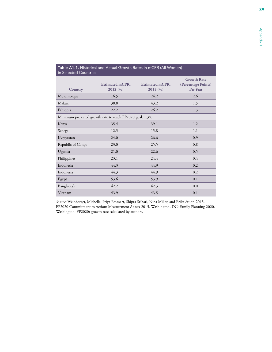| <b>Table A1.1.</b> Historical and Actual Growth Rates in MCPR (All Women)<br>in Selected Countries |                                                          |                                   |                                                       |  |  |
|----------------------------------------------------------------------------------------------------|----------------------------------------------------------|-----------------------------------|-------------------------------------------------------|--|--|
| <b>Country</b>                                                                                     | <b>Estimated mCPR,</b><br>2012 (%)                       | <b>Estimated mCPR,</b><br>2015(%) | <b>Growth Rate</b><br>(Percentage Points)<br>Per Year |  |  |
| Mozambique                                                                                         | 16.5                                                     | 24.2                              | 2.6                                                   |  |  |
| Malawi                                                                                             | 38.8                                                     | 43.2                              | 1.5                                                   |  |  |
| Ethiopia                                                                                           | 22.2                                                     | 26.2                              | 1.3                                                   |  |  |
|                                                                                                    | Minimum projected growth rate to reach FP2020 goal: 1.3% |                                   |                                                       |  |  |
| Kenya                                                                                              | 35.4                                                     | 39.1                              | 1.2                                                   |  |  |
| Senegal                                                                                            | 12.5                                                     | 15.8                              | 1.1                                                   |  |  |
| Kyrgyzstan                                                                                         | 24.0                                                     | 26.6                              | 0.9                                                   |  |  |
| Republic of Congo                                                                                  | 23.0                                                     | 25.5                              | 0.8                                                   |  |  |
| Uganda                                                                                             | 21.0                                                     | 22.6                              | 0.5                                                   |  |  |
| Philippines                                                                                        | 23.1                                                     | 24.4                              | 0.4                                                   |  |  |
| Indonesia                                                                                          | 44.3                                                     | 44.9                              | 0.2                                                   |  |  |
| Indonesia                                                                                          | 44.3                                                     | 44.9                              | 0.2                                                   |  |  |
| Egypt                                                                                              | 53.6                                                     | 53.9                              | 0.1                                                   |  |  |
| Bangladesh                                                                                         | 42.2                                                     | 42.3                              | 0.0                                                   |  |  |
| Vietnam                                                                                            | 43.9                                                     | 43.5                              | $-0.1$                                                |  |  |

#### <span id="page-52-0"></span>Table A1.1. Historical and Actual Growth Rates in mCPR (All Women)

*Source:* Weinberger, Michelle, Priya Emmart, Shipra Srihari, Nina Miller, and Erika Studt. 2015. FP2020 Commitment to Action: Measurement Annex 2015. Washington, DC: Family Planning 2020. Washington: FP2020; growth rate calculated by authors.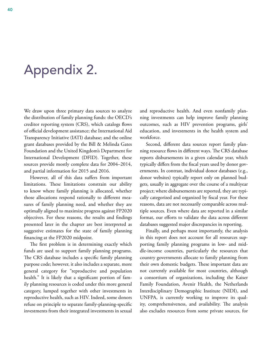# <span id="page-53-0"></span>Appendix 2.

We draw upon three primary data sources to analyze the distribution of family planning funds: the OECD's creditor reporting system (CRS), which catalogs flows of official development assistance; the International Aid Transparency Initiative (IATI) database; and the online grant databases provided by the Bill & Melinda Gates Foundation and the United Kingdom's Department for International Development (DFID). Together, these sources provide mostly complete data for 2004–2014, and partial information for 2015 and 2016.

However, all of this data suffers from important limitations. These limitations constrain our ability to know where family planning is allocated, whether those allocations respond rationally to different measures of family planning need, and whether they are optimally aligned to maximize progress against FP2020 objectives. For these reasons, the results and findings presented later in the chapter are best interpreted as suggestive estimates for the state of family planning financing at the FP2020 midpoint.

The first problem is in determining exactly which funds are used to support family planning programs. The CRS database includes a specific family planning purpose code; however, it also includes a separate, more general category for "reproductive and population health." It is likely that a significant portion of family planning resources is coded under this more general category, lumped together with other investments in reproductive health, such as HIV. Indeed, some donors refuse on principle to separate family-planning-specific investments from their integrated investments in sexual and reproductive health. And even nonfamily planning investments can help improve family planning outcomes, such as HIV prevention programs, girls' education, and investments in the health system and workforce.

Second, different data sources report family planning resource flows in different ways. The CRS database reports disbursements in a given calendar year, which typically differs from the fiscal years used by donor governments. In contrast, individual donor databases (e.g., donor websites) typically report only on planned budgets, usually in aggregate over the course of a multiyear project; where disbursements are reported, they are typically categorized and organized by fiscal year. For these reasons, data are not necessarily comparable across multiple sources. Even where data are reported in a similar format, our efforts to validate the data across different databases suggested major discrepancies in reporting.

Finally, and perhaps most importantly, the analysis in this report does not account for all resources supporting family planning programs in low- and middle-income countries, particularly the resources that country governments allocate to family planning from their own domestic budgets. These important data are not currently available for most countries, although a consortium of organizations, including the Kaiser Family Foundation, Avenir Health, the Netherlands Interdisciplinary Demographic Institute (NIDI), and UNFPA, is currently working to improve its quality, comprehensiveness, and availability. The analysis also excludes resources from some private sources, for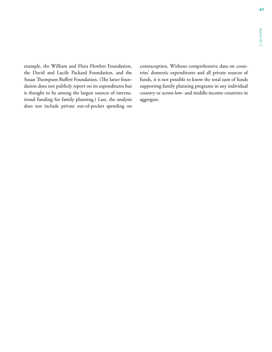example, the William and Flora Hewlett Foundation, the David and Lucile Packard Foundation, and the Susan Thompson Buffett Foundation. (The latter foundation does not publicly report on its expenditures but is thought to be among the largest sources of international funding for family planning.) Last, the analysis does not include private out-of-pocket spending on

contraception. Without comprehensive data on countries' domestic expenditures and all private sources of funds, it is not possible to know the total sum of funds supporting family planning programs in any individual country or across low- and middle-income countries in aggregate.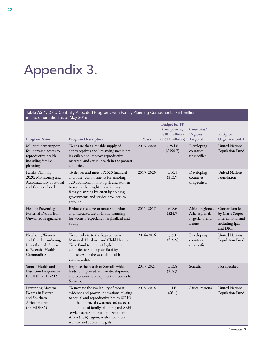# <span id="page-55-0"></span>Appendix 3.

| Table A3.1. DFID Centrally Allocated Programs with Family Planning Components > £1 million,<br>in Implementation as of May 2016 |                                                                                                                                                                                                                                                                                                                                     |              |                                                                             |                                                                  |                                                                                     |
|---------------------------------------------------------------------------------------------------------------------------------|-------------------------------------------------------------------------------------------------------------------------------------------------------------------------------------------------------------------------------------------------------------------------------------------------------------------------------------|--------------|-----------------------------------------------------------------------------|------------------------------------------------------------------|-------------------------------------------------------------------------------------|
| <b>Program Name</b>                                                                                                             | <b>Program Description</b>                                                                                                                                                                                                                                                                                                          | <b>Years</b> | <b>Budget for FP</b><br>Component,<br><b>GBP</b> millions<br>(USD millions) | Countries/<br><b>Regions</b><br><b>Targeted</b>                  | <b>Recipient</b><br>Organization(s)                                                 |
| Multicountry support<br>for increased access to<br>reproductive health,<br>including family<br>planning                         | To ensure that a reliable supply of<br>contraceptives and life-saving medicines<br>is available to improve reproductive,<br>maternal and sexual health in the poorest<br>countries.                                                                                                                                                 | 2013-2020    | £294.6<br>(\$390.7)                                                         | Developing<br>countries,<br>unspecified                          | <b>United Nations</b><br>Population Fund                                            |
| Family Planning<br>2020: Monitoring and<br>Accountability at Global<br>and Country Level                                        | To deliver and meet FP2020 financial<br>and other commitments for enabling<br>120 additional million girls and women<br>to realize their rights to voluntary<br>family planning by 2020 by holding<br>governments and service providers to<br>account.                                                                              | 2013-2020    | £10.5<br>(\$13.9)                                                           | Developing<br>countries,<br>unspecified                          | <b>United Nations</b><br>Foundation                                                 |
| Health: Preventing<br>Maternal Deaths from<br><b>Unwanted Pregnancies</b>                                                       | Reduced recourse to unsafe abortion<br>and increased use of family planning<br>for women (especially marginalized and<br>young)                                                                                                                                                                                                     | 2011-2017    | £18.6<br>(\$24.7)                                                           | Africa, regional,<br>Asia, regional,<br>Nigeria, Sierra<br>Leone | Consortium led<br>by Marie Stopes<br>International and<br>including Ipas<br>and DKT |
| Newborn, Women<br>and Children-Saving<br>Lives through Access<br>to Essential Health<br>Commodities                             | To contribute to the Reproductive,<br>Maternal, Newborn and Child Health<br>Trust Fund to support high-burden<br>countries to scale up availability<br>and access for the essential health<br>commodities.                                                                                                                          | 2014-2016    | £15.0<br>(\$19.9)                                                           | Developing<br>countries,<br>unspecified                          | <b>United Nations</b><br>Population Fund                                            |
| Somali Health and<br>Nutrition Programme<br>(SHINE) 2016-2021                                                                   | Improve the health of Somalis which<br>leads to improved human development<br>and economic development outcomes for<br>Somalia.                                                                                                                                                                                                     | 2015-2021    | £13.8<br>(\$18.3)                                                           | Somalia                                                          | Not specified                                                                       |
| Preventing Maternal<br>Deaths in Eastern<br>and Southern<br>Africa programme<br>(PreMDESA)                                      | To increase the availability of robust<br>evidence and proven innovations relating<br>to sexual and reproductive health (SRH)<br>and the improved awareness of, access to,<br>and uptake of family planning and SRH<br>services across the East and Southern<br>Africa (ESA) region, with a focus on<br>women and adolescent girls. | 2015-2018    | £4.6<br>(\$6.1)                                                             | Africa, regional                                                 | <b>United Nations</b><br>Population Fund                                            |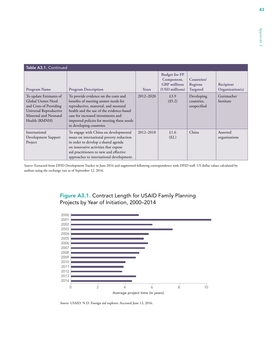<span id="page-56-0"></span>

| Table A3.1. Continued                                                                                                                     |                                                                                                                                                                                                                                                                                |              |                                                                             |                                                 |                              |  |
|-------------------------------------------------------------------------------------------------------------------------------------------|--------------------------------------------------------------------------------------------------------------------------------------------------------------------------------------------------------------------------------------------------------------------------------|--------------|-----------------------------------------------------------------------------|-------------------------------------------------|------------------------------|--|
| <b>Program Name</b>                                                                                                                       | <b>Program Description</b>                                                                                                                                                                                                                                                     | <b>Years</b> | <b>Budget for FP</b><br>Component,<br><b>GBP</b> millions<br>(USD millions) | Countries/<br><b>Regions</b><br><b>Targeted</b> | Recipient<br>Organization(s) |  |
| To update Estimates of<br>Global Unmet Need<br>and Costs of Providing<br>Universal Reproductive<br>Maternal and Neonatal<br>Health (RMNH) | To provide evidence on the costs and<br>benefits of meeting unmet needs for<br>reproductive, maternal, and neonatal<br>health and the use of the evidence-based<br>case for increased investments and<br>improved policies for meeting these needs<br>in developing countries. | 2012-2020    | £3.9<br>(\$5.2)                                                             | Developing<br>countries,<br>unspecified         | Guttmacher<br>Institute      |  |
| International<br>Development Support<br>Project                                                                                           | To engage with China on developmental<br>issues on international poverty reduction<br>in order to develop a shared agenda<br>on innovative activities that expose<br>aid practitioners to new and effective<br>approaches to international development.                        | 2012-2018    | £1.6<br>$(\$2.)$                                                            | China                                           | Assorted<br>organizations    |  |

*Source:* Extracted from DFID Development Tracker in June 2016 and augmented following correspondence with DFID staff. US dollar values calculated by authors using the exchange rate as of September 12, 2016.





*Source:* USAID. N.D. Foreign aid explorer. Accessed June 13, 2016.

43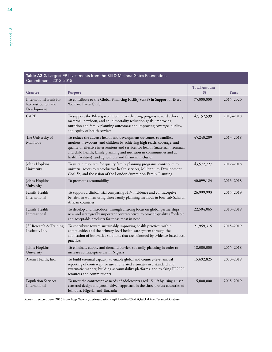| Table A3.2. Largest FP Investments from the Bill & Melinda Gates Foundation,<br>Commitments 2012-2015 |                                                                                                                                                                                                                                                                                                                                                                         |                            |           |  |  |
|-------------------------------------------------------------------------------------------------------|-------------------------------------------------------------------------------------------------------------------------------------------------------------------------------------------------------------------------------------------------------------------------------------------------------------------------------------------------------------------------|----------------------------|-----------|--|--|
| <b>Grantee</b>                                                                                        | <b>Purpose</b>                                                                                                                                                                                                                                                                                                                                                          | <b>Total Amount</b><br>(5) | Years     |  |  |
| International Bank for<br>Reconstruction and<br>Development                                           | To contribute to the Global Financing Facility (GFF) in Support of Every<br>Woman, Every Child                                                                                                                                                                                                                                                                          | 75,000,000                 | 2015-2020 |  |  |
| <b>CARE</b>                                                                                           | To support the Bihar government in accelerating progress toward achieving<br>maternal, newborn, and child mortality reduction goals; improving<br>nutrition and family planning outcomes; and improving coverage, quality,<br>and equity of health services                                                                                                             | 47,152,599                 | 2013-2018 |  |  |
| The University of<br>Manitoba                                                                         | To reduce the adverse health and development outcomes to families,<br>mothers, newborns, and children by achieving high reach, coverage, and<br>quality of effective interventions and services for health (maternal, neonatal,<br>and child health; family planning and nutrition in communities and at<br>health facilities); and agriculture and financial inclusion | 45,240,209                 | 2013-2018 |  |  |
| Johns Hopkins<br>University                                                                           | To sustain resources for quality family planning programs, contribute to<br>universal access to reproductive health services, Millennium Development<br>Goal 5b, and the vision of the London Summit on Family Planning                                                                                                                                                 | 43,572,727                 | 2012-2018 |  |  |
| Johns Hopkins<br>University                                                                           | To promote accountability                                                                                                                                                                                                                                                                                                                                               | 40,099,124                 | 2013-2018 |  |  |
| Family Health<br>International                                                                        | To support a clinical trial comparing HIV incidence and contraceptive<br>benefits in women using three family planning methods in four sub-Saharan<br>African countries                                                                                                                                                                                                 | 26,999,993                 | 2015–2019 |  |  |
| Family Health<br>International                                                                        | To develop and introduce, through a strong focus on global partnerships,<br>new and strategically important contraceptives to provide quality affordable<br>and acceptable products for those most in need                                                                                                                                                              | 22,504,065                 | 2013-2018 |  |  |
| JSI Research & Training<br>Institute, Inc.                                                            | To contribute toward sustainably improving health practices within<br>communities and the primary-level health-care system through the<br>application of innovative solutions that are informed by evidence-based best<br>practices                                                                                                                                     | 21,959,315                 | 2015-2019 |  |  |
| Johns Hopkins<br>University                                                                           | To eliminate supply and demand barriers to family planning in order to<br>increase contraceptive use in Nigeria                                                                                                                                                                                                                                                         | 18,000,000                 | 2015-2018 |  |  |
| Avenir Health, Inc.                                                                                   | To build essential capacity to enable global and country-level annual<br>reporting of contraceptive use and related estimates in a standard and<br>systematic manner, building accountability platforms, and tracking FP2020<br>resources and commitments                                                                                                               | 15,692,825                 | 2013-2018 |  |  |
| <b>Population Services</b><br>International                                                           | To meet the contraceptive needs of adolescents aged 15-19 by using a user-<br>centered design and youth-driven approach in the three project countries of<br>Ethiopia, Nigeria, and Tanzania                                                                                                                                                                            | 15,000,000                 | 2015–2019 |  |  |

*Source:* Extracted June 2016 from <http://www.gatesfoundation.org/How-We-Work/Quick-Links/Grants-Database>.

<span id="page-57-0"></span>44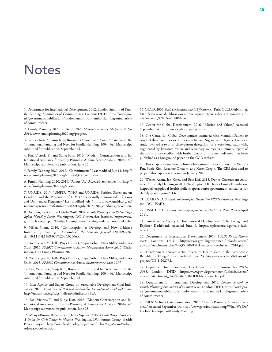### <span id="page-58-0"></span>**Notes**

1. Department for International Development. 2012. London Summit of Family Planning: Summaries of Commitments. London: DFID. [https://www.gov.](https://www.gov.uk/government/publications/london-summit-on-family-planning-summaries-of-commitments) [uk/government/publications/london-summit-on-family-planning-summaries](https://www.gov.uk/government/publications/london-summit-on-family-planning-summaries-of-commitments)[of-commitments.](https://www.gov.uk/government/publications/london-summit-on-family-planning-summaries-of-commitments)

2. Family Planning 2020. 2016. *FP2020 Momentum at the Midpoint 2015- 2016*. www.familyplanning2020.org/progress.

3. Fan, Victoria Y., Sunja Kim, Roxanne Oroxom, and Karen A. Grepin. 2016. "International Funding and Need for Family Planning, 2004–14." Manuscript submitted for publication. September 14.

4. Fan, Victoria Y., and Sunja Kim. 2016. "Modern Contraception and International Assistance for Family Planning: A Time-Series Analysis, 2004–14." Manuscript submitted for publication. June 25.

5. Family Planning 2020. 2012. "Commitments." Last modified July 11. [http://](http://www.familyplanning2020.org/entities/322/commitments) [www.familyplanning2020.org/entities/322/commitments](http://www.familyplanning2020.org/entities/322/commitments).

6. Family Planning 2020. 2016. "About Us." Accessed September 14. http:// www.familyplanning2020.org/about.

7. UNAIDS. 2015. "UNFPA, WHO and UNAIDS: Position Statement on Condoms and the Prevention of HIV, Other Sexually Transmitted Infections and Unintended Pregnancy." Last modified July 7. [http://www.unaids.org/en/](http://www.unaids.org/en/resources/presscentre/featurestories/2015/july/20150702_condoms_prevention) [resources/presscentre/featurestories/2015/july/20150702\\_condoms\\_prevention](http://www.unaids.org/en/resources/presscentre/featurestories/2015/july/20150702_condoms_prevention).

8. Donovan, Patricia, and Deirdre Wulf. 2002. *Family Planning Can Reduce High Infant Mortality Levels.* Washington, DC: Guttmacher Institute. [https://www.](https://www.guttmacher.org/report/family-planning-can-reduce-high-infant-mortality-levels) [guttmacher.org/report/family-planning-can-reduce-high-infant-mortality-levels.](https://www.guttmacher.org/report/family-planning-can-reduce-high-infant-mortality-levels)

9. Miller, Grant. 2010. "Contraception as Development? New Evidence from Family Planning in Colombia." *The Economic Journal* 120:709–736. doi:10.1111/j.1468-0297.2009.02306.x.

10. Weinberger, Michelle, Priya Emmart, Shipra Srihari, Nina Miller, and Erika Studt. 2015. *FP2020 Commitment to Action: Measurement Annex 2015*. Washington, DC: Family Planning 2020.

11. Weinberger, Michelle, Priya Emmart, Shipra Srihari, Nina Miller, and Erika Studt. 2015. *FP2020 Commitment to Action: Measurement Annex 2015*.

12. Fan, Victoria Y., Sunja Kim, Roxanne Oroxom, and Karen A. Grepin. 2016. "International Funding and Need for Family Planning, 2004–14." Manuscript submitted for publication. September 14.

13. Inter-Agency and Expert Group on Sustainable Development Goal Indicators. 2016. *Final List of Proposed Sustainable Development Goal Indicators*. http://unstats.un.org/sdgs/indicators/indicators-list/.

14. Fan, Victoria Y., and Sunja Kim. 2016. "Modern Contraception and International Assistance for Family Planning: A Time-Series Analysis, 2004–14." Manuscript submitted for publication. June 25.

15. Mbuya-Brown, Rebecca, and Henry Sapuwa. 2015. *Health Budget Advocacy: A Guide for Civil Society in Malawi.* Washington, DC: Futures Group, Health Policy Project. [http://www.healthpolicyproject.com/pubs/747\\_MalawiBudget-](http://www.healthpolicyproject.com/pubs/747_MalawiBudgetAdvocacybooklet.pdf)[Advocacybooklet.pdf](http://www.healthpolicyproject.com/pubs/747_MalawiBudgetAdvocacybooklet.pdf).

16. OECD. 2005. *Paris Declaration on Aid Effectiveness*. Paris: OECD Publishing. [http://www.oecd-ilibrary.org/development/paris-declaration-on-aid](http://www.oecd-ilibrary.org/development/paris-declaration-on-aid-effectiveness_9789264098084-en)[effectiveness\\_9789264098084-en.](http://www.oecd-ilibrary.org/development/paris-declaration-on-aid-effectiveness_9789264098084-en)

17. Center for Global Development. 2016. "Mission and Values." Accessed September 14. <http://www.cgdev.org/page/mission>.

18. The Center for Global Development partnered with MannionDaniels to conduct three country case studies—in Kenya, Nigeria, and Uganda. Each case study involved a two- or three-person delegation for a week-long study visit, augmented by literature review and secondary sources. A summary report of the country case studies, with further details on the methods used, has been published as a background paper on the CGD website.

19. This chapter draws heavily from a background paper authored by Victoria Fan, Sunja Kim, Roxanne Oroxom, and Karen Grepin. The CRS data used to prepare this paper was accessed in January 2016.

20. Wexler, Adam, Jen Kates, and Eric Lief. 2015. Donor Government Assistance for Family Planning in 2014. Washington, DC: Kaiser Family Foundation. http://kff.org/global-health-policy/report/donor-government-assistance-for -family-planning-in-2014/.

21. USAID N.D. *Strategic Budgeting for Population FP/RH Programs*. Washington, DC: USAID.

22. USAID. 2011. *Family Planning/Reproductive Health Portfolio Review* April 2011.

24. United States Agency for International Development. 2016. Foreign Aid Explorer Dashboard. Accessed June 9. [https://explorer.usaid.gov/aid-dash](https://explorer.usaid.gov/aid-dashboard.html)[board.html.](https://explorer.usaid.gov/aid-dashboard.html)

25. Department for International Development. 2014. *DFID's Results Framework.* London: DFID. [https://www.gov.uk/government/uploads/system/](https://www.gov.uk/government/uploads/system/uploads/attachment_data/file/360906/DFID-external-results-Sep_2014.pdf) [uploads/attachment\\_data/file/360906/DFID-external-results-Sep\\_2014.pdf.](https://www.gov.uk/government/uploads/system/uploads/attachment_data/file/360906/DFID-external-results-Sep_2014.pdf)

26. Development Tracker. 2016. "Access to Health Care in the Democratic Republic of Congo." Last modified June 23. [https://devtracker.dfid.gov.uk/](https://devtracker.dfid.gov.uk/projects/GB-1-202732) [projects/GB-1-202732.](https://devtracker.dfid.gov.uk/projects/GB-1-202732)

27. Department for International Development. 2011. *Business Plan 2011– 2015*. London: DFID. [https://www.gov.uk/government/uploads/system/](https://www.gov.uk/government/uploads/system/uploads/attachment_data/file/67658/DFID-business-plan.pdf) [uploads/attachment\\_data/file/67658/DFID-business-plan.pdf](https://www.gov.uk/government/uploads/system/uploads/attachment_data/file/67658/DFID-business-plan.pdf).

28. Department for International Development. 2012. *London Summit of Family Planning: Summaries of Commitments.* London: DFID. [https://www.gov.](https://www.gov.uk/government/publications/london-summit-on-family-planning-summaries-of-commitments) [uk/government/publications/london-summit-on-family-planning-summaries](https://www.gov.uk/government/publications/london-summit-on-family-planning-summaries-of-commitments)[of-commitments.](https://www.gov.uk/government/publications/london-summit-on-family-planning-summaries-of-commitments)

29. Bill & Melinda Gates Foundation. 2016. "Family Planning: Strategy Overview." Accessed September 14. [http://www.gatesfoundation.org/What-We-Do/](http://www.gatesfoundation.org/What-We-Do/Global-Development/Family-Planning) [Global-Development/Family-Planning](http://www.gatesfoundation.org/What-We-Do/Global-Development/Family-Planning).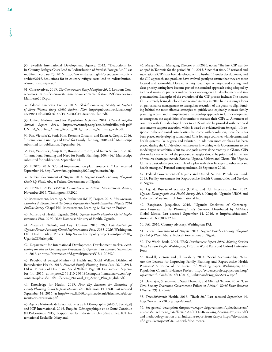30. Swedish International Development Agency. 2012. "Deductions for In-Country Refugee Costs Lead to Redistribution of Swedish Foreign Aid." Last modified February 23, 2016. [http://www.sida.se/English/press/current-topics](http://www.sida.se/English/press/current-topics-archive/2016/deductions-for-in-country-refugee-costs-lead-to-redistribution-of-swedish-foreign-aid/)[archive/2016/deductions-for-in-country-refugee-costs-lead-to-redistribution](http://www.sida.se/English/press/current-topics-archive/2016/deductions-for-in-country-refugee-costs-lead-to-redistribution-of-swedish-foreign-aid/)[of-swedish-foreign-aid/](http://www.sida.se/English/press/current-topics-archive/2016/deductions-for-in-country-refugee-costs-lead-to-redistribution-of-swedish-foreign-aid/).

31. Conservatives. 2015. *The Conservative Party Manifesto 2015.* London: Conservatives. [https://s3-eu-west-1.amazonaws.com/manifesto2015/Conservative-](https://s3-eu-west-1.amazonaws.com/manifesto2015/ConservativeManifesto2015.pdf)[Manifesto2015.pdf](https://s3-eu-west-1.amazonaws.com/manifesto2015/ConservativeManifesto2015.pdf).

32. Global Financing Facility. 2015. *Global Financing Facility in Support of Every Woman Every Child: Business Plan.* [http://pubdocs.worldbank.org/](http://pubdocs.worldbank.org/en/598311437686176148/1515268-GFF-Business-Plan.pdf) [en/598311437686176148/1515268-GFF-Business-Plan.pdf.](http://pubdocs.worldbank.org/en/598311437686176148/1515268-GFF-Business-Plan.pdf)

33. United Nations Fund for Population Activities. 2014. *UNFPA Supplies Annual Report 2014*. [https://www.unfpa.org/sites/default/files/pub-pdf/](https://www.unfpa.org/sites/default/files/pub-pdf/UNFPA_Supplies_Annual_Report_2014_Executive_Summary_web.pdf) [UNFPA\\_Supplies\\_Annual\\_Report\\_2014\\_Executive\\_Summary\\_web.pdf](https://www.unfpa.org/sites/default/files/pub-pdf/UNFPA_Supplies_Annual_Report_2014_Executive_Summary_web.pdf).

34. Fan, Victoria Y., Sunja Kim, Roxanne Oroxom, and Karen A. Grepin. 2016. "International Funding and Need for Family Planning, 2004–14." Manuscript submitted for publication. September 14.

35. Fan, Victoria Y., Sunja Kim, Roxanne Oroxom, and Karen A. Grepin. 2016. "International Funding and Need for Family Planning, 2004–14." Manuscript submitted for publication. September 14.

36. FP2020. 2016. "Costed implementation plan resource kit." Last accessed September 14. <http://www.familyplanning2020.org/microsite/cip>.

37. Federal Government of Nigeria. 2014. *Nigeria Family Planning Blueprint (Scale-Up Plan).* Abuja: Federal Government of Nigeria.

38. FP2020. 2015. *FP2020 Commitment to Action*. Measurement Annex, November 2015. Washington: FP2020.

39. Measurement, Learning, & Evaluation (MLE) Project. 2015. *Measurement, Learning & Evaluation of the Urban Reproductive Health Initiative: Nigeria 2014 Endline Survey.* Chapel Hill: Measurement, Learning & Evaluation Project.

40. Ministry of Health, Uganda. 2014. *Uganda Family Planning Costed Implementation Plan, 2015–2020*. Kampala: Ministry of Health, Uganda.

41. Zlatunich, Nichole, and Taryn Couture. 2015. *2015 Gap Analysis for Uganda Family Planning Costed Implementation Plan, 2015–2020.* Washington, DC: Health Policy Project. [http://www.healthpolicyproject.com/pubs/840\\_](http://www.healthpolicyproject.com/pubs/840_UgandaCIPbrief.pdf) [UgandaCIPbrief.pdf](http://www.healthpolicyproject.com/pubs/840_UgandaCIPbrief.pdf).

42. Department for International Development. Development tracker. *Accelerating the Rise in Contraceptive Prevalence in Uganda.* Last accessed September 14, 2016, at [https://devtracker.dfid.gov.uk/projects/GB-1-202420.](https://devtracker.dfid.gov.uk/projects/GB-1-202420)

43. Republic of Senegal Ministry of Health and Social Welfare, Division of Reproductive Health. 2012. *National Family Planning Action Plan 2012–2015*. Dakar: Ministry of Health and Social Welfare. Page 50. Last accessed September 14, 2016, at [http://ec2-54-210-230-186.compute-1.amazonaws.com/wp](http://ec2-54-210-230-186.compute-1.amazonaws.com/wp-content/uploads/2014/10/Senegal_National_FP_Action_Plan_English.pdf)[content/uploads/2014/10/Senegal\\_National\\_FP\\_Action\\_Plan\\_English.pdf](http://ec2-54-210-230-186.compute-1.amazonaws.com/wp-content/uploads/2014/10/Senegal_National_FP_Action_Plan_English.pdf).

44. Knowledge for Health. 2015. *Four Key Elements for Execution of Family Planning Costed Implementation Plans.* Baltimore: FHI 360. Last accessed September 14, 2016, at [http://www.fhi360.org/sites/default/files/media/docu](http://www.fhi360.org/sites/default/files/media/documents/cip-execution.pdf)[ments/cip-execution.pdf](http://www.fhi360.org/sites/default/files/media/documents/cip-execution.pdf).

45. Agence Nationale de la Statistique et de la Démographie (ANSD) [Sénégal] and ICF International. 2015. Enquête Démographique et de Santé Continue (EDS-Continue 2015): Rapport sur les Indicateurs Clés 3ème année. ICF International Rockville, Maryland.

46. Martyn Smith, Managing Director of FP2020, notes: "The first CIP was developed in Tanzania for the period 2010 - 2015. Since that time, 27 national and sub-national CIPs have been developed with a further 11 under development, and the CIP approach and products have evolved greatly to ensure that they are more focused and actionable. Detailed activity roadmaps, activity-based costing, and clear priority setting have become part of the standard approach being adopted by technical assistance partners and countries working on CIP development and implementation. Examples of the evolution of the CIP process include: The newest CIPs currently being developed and revised starting in 2016 have a stronger focus on performance management to strengthen execution of the plans, to align funding behind the most effective strategies to quickly and equitably increase family planning access, and to implement a partnership approach to CIP development to strengthen the capabilities of countries to execute their CIPs … A number of countries with CIPs developed prior to 2016 will also be provided with technical assistance to support execution, which is based on evidence from Senegal … In response to the additional complexities that come with devolution, more focus has been placed on developing subnational CIPs for large countries with decentralized health systems like Nigeria and Pakistan. In addition more emphasis has been placed during the CIP development process in working with Governments to use modeling to set ambitious but realistic goals as was done recently in Ghana/ CIPs that make clear which of the proposed strategies should be prioritized in the face of resource shortages include Zambia, Uganda, Malawi and Ghana. The Uganda CIP is a particularly good example of a plan with clear linkages to other relevant health strategies." Personal correspondence, 23 September 2016.

47. Federal Government of Nigeria and United Nations Population Fund. 2015. Facility Assessment for Reproductive Health Commodities and Services in Nigeria.

48. Uganda Bureau of Statistics (UBOS) and ICF International Inc. 2012. *Uganda Demographic and Health Survey 2011*. Kampala, Uganda: UBOS and Calverton, Maryland: ICF International Inc.

49. Bangirana, Jacqueline. 2016. "Uganda: Stockouts of Contraceptives Frustrate Family Planning." *The Observer*. Distributed by AllAfrica Global Media. Last accessed September 14, 2016, at [http://allafrica.com/](http://allafrica.com/stories/201606300222.html) [stories/201606300222.html.](http://allafrica.com/stories/201606300222.html)

50. PAI. 2016. Country advocacy. Washington: PAI.

51. Federal Government of Nigeria. 2014. *Nigeria Family Planning Blueprint (Scale-Up Plan).* Abuja: Federal Government of Nigeria.

52. The World Bank. 2004. *World Development Report 2004. Making Services Work for Poor People*. Washington, DC: The World Bank and Oxford University Press.

53. Boydell, Victoria and Jill Keesbury. 2014. "Social Accountability: What Are the Lessons for Improving Family Planning and Reproductive Health Programs? A Review of the Literature." Working paper. Washington, DC: Population Council, Evidence Project. [http://evidenceproject.popcouncil.org/](http://evidenceproject.popcouncil.org/wp-content/uploads/2014/11/2014_RightsBasedProg_SocAcctWP.pdf) [wp-content/uploads/2014/11/2014\\_RightsBasedProg\\_SocAcctWP.pdf](http://evidenceproject.popcouncil.org/wp-content/uploads/2014/11/2014_RightsBasedProg_SocAcctWP.pdf).

54. Devarajan, Shantayanan, Stuti Khemani, and Michael Walton. 2014. "Can Civil Society Overcome Government Failure in Africa?" *World Bank Research Observer* 29(1): 20–47.

55. Track20/Avenir Health. 2016. "Track 20." Last accessed September 14. <http://www.track20.org/pages/about/>.

56. See general description ([https://www.gov.uk/government/uploads/system/](https://www.gov.uk/government/uploads/system/uploads/attachment_data/file/67344/HTN-Reviewing-Scoring-Projects.pdf) [uploads/attachment\\_data/file/67344/HTN-Reviewing-Scoring-Projects.pdf](https://www.gov.uk/government/uploads/system/uploads/attachment_data/file/67344/HTN-Reviewing-Scoring-Projects.pdf)) and methodology section of an indicative report from Kenya: [https://devtracker.](https://devtracker.dfid.gov.uk/projects/GB-1-202547/documents) [dfid.gov.uk/projects/GB-1-202547/documents](https://devtracker.dfid.gov.uk/projects/GB-1-202547/documents).

46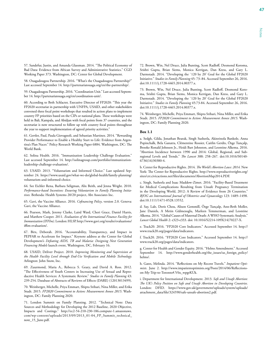57. Sandefur, Justin, and Amanda Glassman. 2014. "The Political Economy of Bad Data: Evidence from African Survey and Administrative Statistics." CGD Working Paper 373. Washington, DC: Center for Global Development.

58. Ouagadougou Partnership. 2016. "What's the Ouagadougou Partnership?" Last accessed September 14. <http://partenariatouaga.org/en/the-partnership/>.

59. Ouagadougou Partnership. 2016. "Coordination Unit." Last accessed September 14. [http://partenariatouaga.org/en/coordination-unit/.](http://partenariatouaga.org/en/coordination-unit/)

60. According to Beth Schlacter, Executive Director of FP2020: "This year the FP2020 secretariat in partnership with UNFPA, USAID, and other stakeholders convened three focal point workshops that resulted in action plans to implement country FP priorities based on the CIPs or national plans. These workshops were held in Bali, Kampala, and Abidjan with focal points from 37 countries, and the secretariat is now structured to follow up with country focal points throughout the year to support implementation of agreed priority activities."

61. Gertler, Paul, Paula Giovagnoli, and Sebastian Martinez. 2014. "Rewarding Provider Performance to Enable a Healthy Start to Life: Evidence from Argentina's Plan Nacer." Policy Research Working Paper 6884. Washington, DC: The World Bank.

62. Solina Health. 2016. "Immunization Leadership Challenge Evaluation." Last accessed September 14. [http://solinagroup.com/portfolio/immunization](http://solinagroup.com/portfolio/immunization-leadership-challenge-evaluation/)[leadership-challenge-evaluation/](http://solinagroup.com/portfolio/immunization-leadership-challenge-evaluation/).

63. USAID. 2013. "Voluntarism and Informed Choice." Last updated September 24. [https://www.usaid.gov/what-we-do/global-health/family-planning/](https://www.usaid.gov/what-we-do/global-health/family-planning/voluntarism-and-informed-choice) [voluntarism-and-informed-choice](https://www.usaid.gov/what-we-do/global-health/family-planning/voluntarism-and-informed-choice).

64. See Eichler Rena, Barbara Seligman, Alix Beith, and Jenna Wright. 2010. *Performance-based Incentives: Ensuring Voluntarism in Family Planning Initiatives.* Bethesda: Health Systems 20/20 project, Abt Associates Inc.

65. Gavi, the Vaccine Alliance. 2016. *Cofinancing Policy*, version 2.0. Geneva: Gavi, the Vaccine Alliance.

66. Pearson, Mark, Jeremy Clarke, Laird Ward, Cheri Grace, Daniel Harris, and Matthew Cooper. 2011. *Evaluation of the International Finance Facility for Immunisation (IFFIm).* London: HLSP. http://www.gavi.org/results/evaluations/ iffim-evaluation/.

67. Birx, Deborah. 2016. "Accountability, Transparency, and Impact in PEPFAR to Accelerate for Impact." Keynote address at the Center for Global Development's *Defeating AIDS, TB and Malaria: Designing Next Generation Financing Models* launch event, Washington, DC, February 16.

68. USAID, Deliver Project. 2010. *Improving Monitoring and Supervision at the Health Facility Level through End-Use Verification and Mobile Technology.* Arlington: John Snow, Inc.

69. Zuurmond, Maria A., Rebecca S. Geary, and David A. Ross. 2012. "The Effectiveness of Youth Centers in Increasing Use of Sexual and Reproductive Health Services: A Systematic Review." *Studies in Family Planning* 43: 239-254. Database of Abstracts of Reviews of Effects (DARE) (12013013499).

70. Weinberger, Michelle, Priya Emmart, Shipra Srihari, Nina Miller, and Erika Studt. 2015. *FP2020 Commitment to Action: Measurement Annex 2015*. Washington, DC: Family Planning 2020.

71. London Summit on Family Planning. 2012. "Technical Note: Data Sources and Methodology for Developing the 2012 Baseline, 2020 Objective, Impacts and Costings." [http://ec2-54-210-230-186.compute-1.amazonaws.](http://ec2-54-210-230-186.compute-1.amazonaws.com/wp-content/uploads/2013/09/2013_01-04_FP_Summit_technical_note_15_June.pdf) [com/wp-content/uploads/2013/09/2013\\_01-04\\_FP\\_Summit\\_technical\\_](http://ec2-54-210-230-186.compute-1.amazonaws.com/wp-content/uploads/2013/09/2013_01-04_FP_Summit_technical_note_15_June.pdf) [note\\_15\\_June.pdf.](http://ec2-54-210-230-186.compute-1.amazonaws.com/wp-content/uploads/2013/09/2013_01-04_FP_Summit_technical_note_15_June.pdf)

72. Brown, Win, Nel Druce, Julia Bunting, Scott Radloff, Desmond Koroma, Srishti Gupta, Brian Siems, Monica Kerrigan, Dan Kress, and Gary L. Darmstadt. 2014. "Developing the `120 by 20' Goal for the Global FP2020 Initiative." *Studies in Family Planning* 45: 73–84. Accessed September 26, 2016. doi:10.1111/j.1728-4465.2014.00377.x.

73. Brown, Win, Nel Druce, Julia Bunting, Scott Radloff, Desmond Koroma, Srishti Gupta, Brian Siems, Monica Kerrigan, Dan Kress, and Gary L. Darmstadt. 2014. "Developing the `120 by 20' Goal for the Global FP2020 Initiative." *Studies in Family Planning* 45:73-84. Accessed September 26, 2016. doi:10.1111/j.1728-4465.2014.00377.x.

74. Weinberger, Michelle, Priya Emmart, Shipra Srihari, Nina Miller, and Erika Studt. 2015. *FP2020 Commitment to Action: Measurement Annex 2015*. Washington, DC: Family Planning 2020.

#### **Box 1.1**

a. Sedgh, Gilda, Jonathan Bearak, Singh Susheela, Akinrinola Bankole, Anna Popinchalk, Bela Ganatra, Clémentine Rossier, Caitlin Gerdts, Özge Tunçalp, Brooke Ronald Johnson Jr., Heidi Bart Johnston, and Leontine Alkema. 2016. "Abortion Incidence between 1990 and 2014: Global, Regional, and Subregional Levels and Trends." *The Lancet* 388: 258–267. doi:10.1016/S0140- 6736(16)30380-4.

b. Center for Reproductive Rights. 2014. *The World's Abortion Laws: 2014.* New York: The Center for Reproductive Rights. [http://www.reproductiverights.org/](http://www.reproductiverights.org/sites/crr.civicactions.net/files/documents/AbortionMap2014.PDF) [sites/crr.civicactions.net/files/documents/AbortionMap2014.PDF](http://www.reproductiverights.org/sites/crr.civicactions.net/files/documents/AbortionMap2014.PDF).

c. Singh, Susheela and Isaac Maddow-Zimet. 2016. "Facility-Based Treatment for Medical Complications Resulting from Unsafe Pregnancy Termination in the Developing World, 2012: A Review of Evidence from 26 Countries." *BJOG an International Journal of Obstetrics and Gynaecology* 123: 1489–1498. doi:10.1111/1471-0528.13552.

d. Say, Lale, Doris Chou, Alison Gemmill, Özge Tunçalp, Ann-Beth Moller, Jane Daniels, A Metin Gülmezoglu, Marleen Temmerman, and Leontine Alkema. 2014. "Global Causes of Maternal Death: A WHO Systematic Analysis." *Lancet Global Health* 2: e323-e333. doi: 10.1016/S2214-109X(14)70227-X.

e. Track20. 2016. "FP2020 Core Indicators." Accessed September 14. http:// www.track20.org/pages/data/indicators.

f. Track20. 2016. "FP2020 Core Indicators." Accessed September 14. [http://](http://www.track20.org/pages/data/indicators) [www.track20.org/pages/data/indicators.](http://www.track20.org/pages/data/indicators)

g. Center for Health and Gender Equity. 2016. "Helms Amendment." Accessed September 14. [http://www.genderhealth.org/the\\_issues/us\\_foreign\\_policy/](http://www.genderhealth.org/the_issues/us_foreign_policy/helms/) [helms/.](http://www.genderhealth.org/the_issues/us_foreign_policy/helms/)

h. Gates, Melinda. 2014. "Reflections on My Recent Travels." *Impatient Optimists*. June 2. http://www.impatientoptimists.org/Posts/2014/06/Reflectionson-My-Trip-to-Toronto#.V6x\_wpgrKUk.

i. Department for International Development. 2013. *Safe and Unsafe Abortion: The UK's Policy Position on Safe and Unsafe Abortion in Developing Countries.* London: DFID. [https://www.gov.uk/government/uploads/system/uploads/](https://www.gov.uk/government/uploads/system/uploads/attachment_data/file/324590/safe-unsafe-abortion2.pdf) [attachment\\_data/file/324590/safe-unsafe-abortion2.pdf.](https://www.gov.uk/government/uploads/system/uploads/attachment_data/file/324590/safe-unsafe-abortion2.pdf)

Notes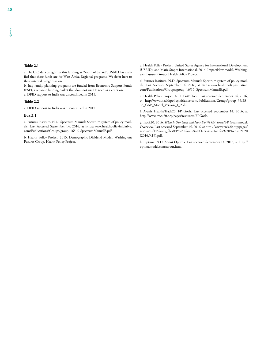a. The CRS data categorizes this funding as "South of Sahara"; USAID has clarified that these funds are for West Africa Regional programs. We defer here to their internal categorization.

b. Iraq family planning programs are funded from Economic Support Funds (ESF), a separate funding basket that does not use FP need as a criterion. c. DFID support to India was discontinued in 2015.

#### **Table 2.2**

a. DFID support to India was discontinued in 2015.

#### **Box 3.1**

a. Futures Institute. N.D. Spectrum Manual: Spectrum system of policy models. Last Accessed September 14, 2016, at [http://www.healthpolicyinitiative.](http://www.healthpolicyinitiative.com/Publications/Groups/group_16/16_SpectrumManualE.pdf) [com/Publications/Groups/group\\_16/16\\_SpectrumManualE.pdf.](http://www.healthpolicyinitiative.com/Publications/Groups/group_16/16_SpectrumManualE.pdf)

b. Health Policy Project. 2015. Demographic Dividend Model. Washington: Futures Group, Health Policy Project.

c. Health Policy Project, United States Agency for International Development (USAID), and Marie Stopes International. 2014. ImpactNow model. Washington: Futures Group, Health Policy Project.

d. Futures Institute. N.D. Spectrum Manual: Spectrum system of policy models. Last Accessed September 14, 2016, at [http://www.healthpolicyinitiative.](http://www.healthpolicyinitiative.com/Publications/Groups/group_16/16_SpectrumManualE.pdf) [com/Publications/Groups/group\\_16/16\\_SpectrumManualE.pdf.](http://www.healthpolicyinitiative.com/Publications/Groups/group_16/16_SpectrumManualE.pdf)

e. Health Policy Project. N.D. GAP Tool. Last accessed September 14, 2016, at [http://www.healthpolicyinitiative.com/Publications/Groups/group\\_33/33\\_](http://www.healthpolicyinitiative.com/Publications/Groups/group_33/33_33_GAP_Model_Version_1_2.xls) [33\\_GAP\\_Model\\_Version\\_1\\_2.xls](http://www.healthpolicyinitiative.com/Publications/Groups/group_33/33_33_GAP_Model_Version_1_2.xls)

f. Avenir Health/Track20. FP Goals. Last accessed September 14, 2016, at [http://www.track20.org/pages/resources/FPGoals.](http://www.track20.org/pages/resources/FPGoals)

g. Track20. 2016. *What Is Our Goal and How Do We Get There?* FP Goals model. Overview. Last accessed September 14, 2016, at [http://www.track20.org/pages/](http://www.track20.org/pages/resources/FPGoals_files/FP%20Goals%20Overview%20for%20Website%20(2016.5.19).pdf) [resources/FPGoals\\_files/FP%20Goals%20Overview%20for%20Website%20](http://www.track20.org/pages/resources/FPGoals_files/FP%20Goals%20Overview%20for%20Website%20(2016.5.19).pdf) [\(2016.5.19\).pdf](http://www.track20.org/pages/resources/FPGoals_files/FP%20Goals%20Overview%20for%20Website%20(2016.5.19).pdf).

h. Optima. N.D. About Optima. Last accessed September 14, 2016, at [http://](http://optimamodel.com/about.html) [optimamodel.com/about.html.](http://optimamodel.com/about.html)

Notes